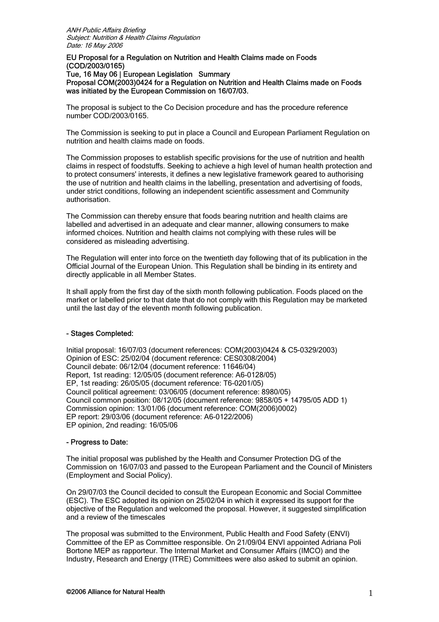#### EU Proposal for a Regulation on Nutrition and Health Claims made on Foods (COD/2003/0165) Tue, 16 May 06 | European Legislation Summary Proposal COM(2003)0424 for a Regulation on Nutrition and Health Claims made on Foods was initiated by the European Commission on 16/07/03.

The proposal is subject to the Co Decision procedure and has the procedure reference number COD/2003/0165.

The Commission is seeking to put in place a Council and European Parliament Regulation on nutrition and health claims made on foods.

The Commission proposes to establish specific provisions for the use of nutrition and health claims in respect of foodstuffs. Seeking to achieve a high level of human health protection and to protect consumers' interests, it defines a new legislative framework geared to authorising the use of nutrition and health claims in the labelling, presentation and advertising of foods, under strict conditions, following an independent scientific assessment and Community authorisation.

The Commission can thereby ensure that foods bearing nutrition and health claims are labelled and advertised in an adequate and clear manner, allowing consumers to make informed choices. Nutrition and health claims not complying with these rules will be considered as misleading advertising.

The Regulation will enter into force on the twentieth day following that of its publication in the Official Journal of the European Union. This Regulation shall be binding in its entirety and directly applicable in all Member States.

It shall apply from the first day of the sixth month following publication. Foods placed on the market or labelled prior to that date that do not comply with this Regulation may be marketed until the last day of the eleventh month following publication.

# - Stages Completed:

Initial proposal: 16/07/03 (document references: COM(2003)0424 & C5-0329/2003) Opinion of ESC: 25/02/04 (document reference: CES0308/2004) Council debate: 06/12/04 (document reference: 11646/04) Report, 1st reading: 12/05/05 (document reference: A6-0128/05) EP, 1st reading: 26/05/05 (document reference: T6-0201/05) Council political agreement: 03/06/05 (document reference: 8980/05) Council common position: 08/12/05 (document reference: 9858/05 + 14795/05 ADD 1) Commission opinion: 13/01/06 (document reference: COM(2006)0002) EP report: 29/03/06 (document reference: A6-0122/2006) EP opinion, 2nd reading: 16/05/06

## - Progress to Date:

The initial proposal was published by the Health and Consumer Protection DG of the Commission on 16/07/03 and passed to the European Parliament and the Council of Ministers (Employment and Social Policy).

On 29/07/03 the Council decided to consult the European Economic and Social Committee (ESC). The ESC adopted its opinion on 25/02/04 in which it expressed its support for the objective of the Regulation and welcomed the proposal. However, it suggested simplification and a review of the timescales

The proposal was submitted to the Environment, Public Health and Food Safety (ENVI) Committee of the EP as Committee responsible. On 21/09/04 ENVI appointed Adriana Poli Bortone MEP as rapporteur. The Internal Market and Consumer Affairs (IMCO) and the Industry, Research and Energy (ITRE) Committees were also asked to submit an opinion.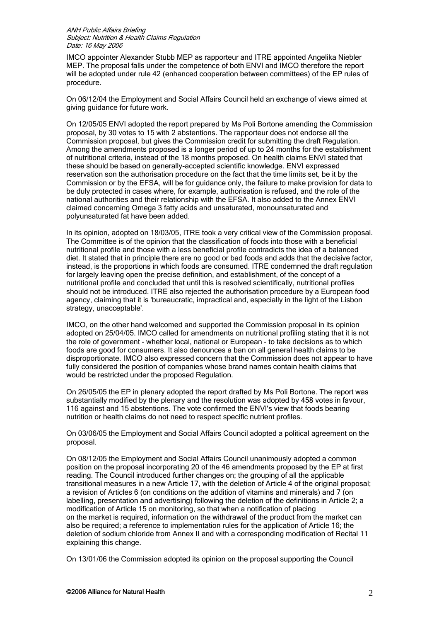IMCO appointer Alexander Stubb MEP as rapporteur and ITRE appointed Angelika Niebler MEP. The proposal falls under the competence of both ENVI and IMCO therefore the report will be adopted under rule 42 (enhanced cooperation between committees) of the EP rules of procedure.

On 06/12/04 the Employment and Social Affairs Council held an exchange of views aimed at giving guidance for future work.

On 12/05/05 ENVI adopted the report prepared by Ms Poli Bortone amending the Commission proposal, by 30 votes to 15 with 2 abstentions. The rapporteur does not endorse all the Commission proposal, but gives the Commission credit for submitting the draft Regulation. Among the amendments proposed is a longer period of up to 24 months for the establishment of nutritional criteria, instead of the 18 months proposed. On health claims ENVI stated that these should be based on generally-accepted scientific knowledge. ENVI expressed reservation son the authorisation procedure on the fact that the time limits set, be it by the Commission or by the EFSA, will be for guidance only, the failure to make provision for data to be duly protected in cases where, for example, authorisation is refused, and the role of the national authorities and their relationship with the EFSA. It also added to the Annex ENVI claimed concerning Omega 3 fatty acids and unsaturated, monounsaturated and polyunsaturated fat have been added.

In its opinion, adopted on 18/03/05, ITRE took a very critical view of the Commission proposal. The Committee is of the opinion that the classification of foods into those with a beneficial nutritional profile and those with a less beneficial profile contradicts the idea of a balanced diet. It stated that in principle there are no good or bad foods and adds that the decisive factor, instead, is the proportions in which foods are consumed. ITRE condemned the draft regulation for largely leaving open the precise definition, and establishment, of the concept of a nutritional profile and concluded that until this is resolved scientifically, nutritional profiles should not be introduced. ITRE also rejected the authorisation procedure by a European food agency, claiming that it is 'bureaucratic, impractical and, especially in the light of the Lisbon strategy, unacceptable'.

IMCO, on the other hand welcomed and supported the Commission proposal in its opinion adopted on 25/04/05. IMCO called for amendments on nutritional profiling stating that it is not the role of government - whether local, national or European - to take decisions as to which foods are good for consumers. It also denounces a ban on all general health claims to be disproportionate. IMCO also expressed concern that the Commission does not appear to have fully considered the position of companies whose brand names contain health claims that would be restricted under the proposed Regulation.

On 26/05/05 the EP in plenary adopted the report drafted by Ms Poli Bortone. The report was substantially modified by the plenary and the resolution was adopted by 458 votes in favour, 116 against and 15 abstentions. The vote confirmed the ENVI's view that foods bearing nutrition or health claims do not need to respect specific nutrient profiles.

On 03/06/05 the Employment and Social Affairs Council adopted a political agreement on the proposal.

On 08/12/05 the Employment and Social Affairs Council unanimously adopted a common position on the proposal incorporating 20 of the 46 amendments proposed by the EP at first reading. The Council introduced further changes on; the grouping of all the applicable transitional measures in a new Article 17, with the deletion of Article 4 of the original proposal; a revision of Articles 6 (on conditions on the addition of vitamins and minerals) and 7 (on labelling, presentation and advertising) following the deletion of the definitions in Article 2; a modification of Article 15 on monitoring, so that when a notification of placing on the market is required, information on the withdrawal of the product from the market can also be required; a reference to implementation rules for the application of Article 16; the deletion of sodium chloride from Annex II and with a corresponding modification of Recital 11 explaining this change.

On 13/01/06 the Commission adopted its opinion on the proposal supporting the Council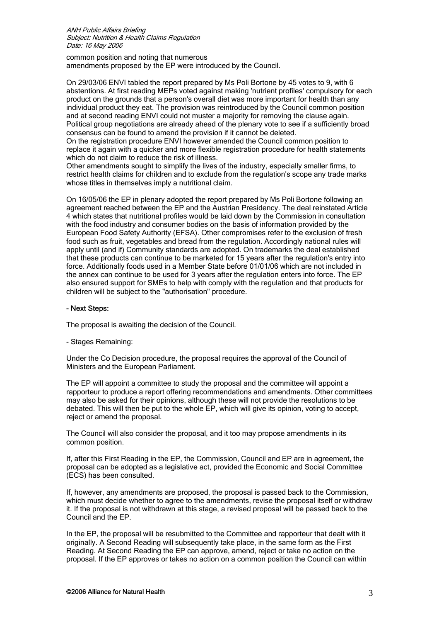common position and noting that numerous amendments proposed by the EP were introduced by the Council.

On 29/03/06 ENVI tabled the report prepared by Ms Poli Bortone by 45 votes to 9, with 6 abstentions. At first reading MEPs voted against making 'nutrient profiles' compulsory for each product on the grounds that a person's overall diet was more important for health than any individual product they eat. The provision was reintroduced by the Council common position and at second reading ENVI could not muster a majority for removing the clause again. Political group negotiations are already ahead of the plenary vote to see if a sufficiently broad consensus can be found to amend the provision if it cannot be deleted.

On the registration procedure ENVI however amended the Council common position to replace it again with a quicker and more flexible registration procedure for health statements which do not claim to reduce the risk of illness.

Other amendments sought to simplify the lives of the industry, especially smaller firms, to restrict health claims for children and to exclude from the regulation's scope any trade marks whose titles in themselves imply a nutritional claim.

On 16/05/06 the EP in plenary adopted the report prepared by Ms Poli Bortone following an agreement reached between the EP and the Austrian Presidency. The deal reinstated Article 4 which states that nutritional profiles would be laid down by the Commission in consultation with the food industry and consumer bodies on the basis of information provided by the European Food Safety Authority (EFSA). Other compromises refer to the exclusion of fresh food such as fruit, vegetables and bread from the regulation. Accordingly national rules will apply until (and if) Community standards are adopted. On trademarks the deal established that these products can continue to be marketed for 15 years after the regulation's entry into force. Additionally foods used in a Member State before 01/01/06 which are not included in the annex can continue to be used for 3 years after the regulation enters into force. The EP also ensured support for SMEs to help with comply with the regulation and that products for children will be subject to the "authorisation" procedure.

## - Next Steps:

The proposal is awaiting the decision of the Council.

- Stages Remaining:

Under the Co Decision procedure, the proposal requires the approval of the Council of Ministers and the European Parliament.

The EP will appoint a committee to study the proposal and the committee will appoint a rapporteur to produce a report offering recommendations and amendments. Other committees may also be asked for their opinions, although these will not provide the resolutions to be debated. This will then be put to the whole EP, which will give its opinion, voting to accept, reject or amend the proposal.

The Council will also consider the proposal, and it too may propose amendments in its common position.

If, after this First Reading in the EP, the Commission, Council and EP are in agreement, the proposal can be adopted as a legislative act, provided the Economic and Social Committee (ECS) has been consulted.

If, however, any amendments are proposed, the proposal is passed back to the Commission, which must decide whether to agree to the amendments, revise the proposal itself or withdraw it. If the proposal is not withdrawn at this stage, a revised proposal will be passed back to the Council and the EP.

In the EP, the proposal will be resubmitted to the Committee and rapporteur that dealt with it originally. A Second Reading will subsequently take place, in the same form as the First Reading. At Second Reading the EP can approve, amend, reject or take no action on the proposal. If the EP approves or takes no action on a common position the Council can within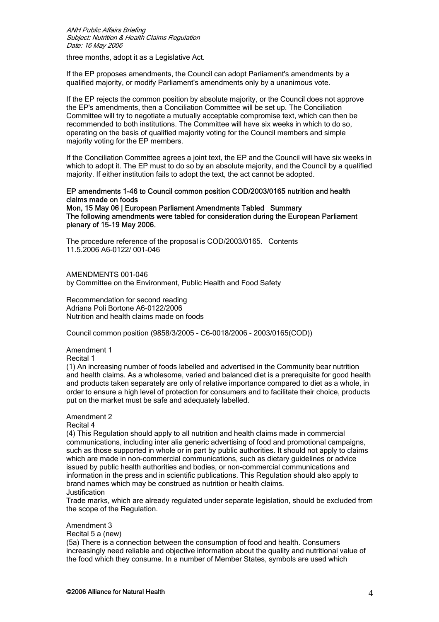three months, adopt it as a Legislative Act.

If the EP proposes amendments, the Council can adopt Parliament's amendments by a qualified majority, or modify Parliament's amendments only by a unanimous vote.

If the EP rejects the common position by absolute majority, or the Council does not approve the EP's amendments, then a Conciliation Committee will be set up. The Conciliation Committee will try to negotiate a mutually acceptable compromise text, which can then be recommended to both institutions. The Committee will have six weeks in which to do so, operating on the basis of qualified majority voting for the Council members and simple majority voting for the EP members.

If the Conciliation Committee agrees a joint text, the EP and the Council will have six weeks in which to adopt it. The EP must to do so by an absolute majority, and the Council by a qualified majority. If either institution fails to adopt the text, the act cannot be adopted.

## EP amendments 1-46 to Council common position COD/2003/0165 nutrition and health claims made on foods

Mon, 15 May 06 | European Parliament Amendments Tabled Summary The following amendments were tabled for consideration during the European Parliament plenary of 15-19 May 2006.

The procedure reference of the proposal is COD/2003/0165. Contents 11.5.2006 A6-0122/ 001-046

AMENDMENTS 001-046 by Committee on the Environment, Public Health and Food Safety

Recommendation for second reading Adriana Poli Bortone A6-0122/2006 Nutrition and health claims made on foods

Council common position (9858/3/2005 - C6-0018/2006 - 2003/0165(COD))

Amendment 1 Recital 1

(1) An increasing number of foods labelled and advertised in the Community bear nutrition and health claims. As a wholesome, varied and balanced diet is a prerequisite for good health and products taken separately are only of relative importance compared to diet as a whole, in order to ensure a high level of protection for consumers and to facilitate their choice, products put on the market must be safe and adequately labelled.

Amendment 2

Recital 4

(4) This Regulation should apply to all nutrition and health claims made in commercial communications, including inter alia generic advertising of food and promotional campaigns, such as those supported in whole or in part by public authorities. It should not apply to claims which are made in non-commercial communications, such as dietary guidelines or advice issued by public health authorities and bodies, or non-commercial communications and information in the press and in scientific publications. This Regulation should also apply to brand names which may be construed as nutrition or health claims. Justification

Trade marks, which are already regulated under separate legislation, should be excluded from the scope of the Regulation.

Amendment 3

Recital 5 a (new)

(5a) There is a connection between the consumption of food and health. Consumers increasingly need reliable and objective information about the quality and nutritional value of the food which they consume. In a number of Member States, symbols are used which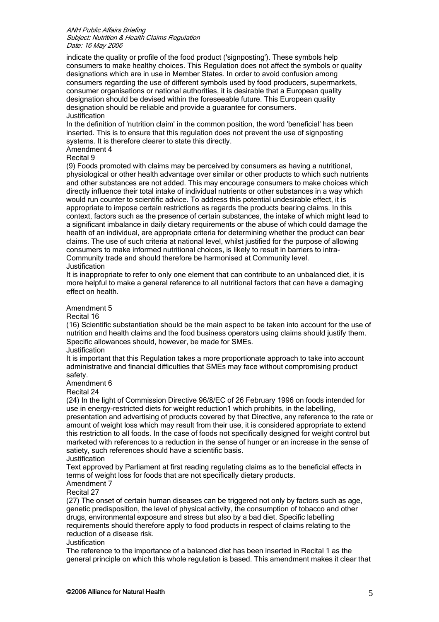indicate the quality or profile of the food product ('signposting'). These symbols help consumers to make healthy choices. This Regulation does not affect the symbols or quality designations which are in use in Member States. In order to avoid confusion among consumers regarding the use of different symbols used by food producers, supermarkets, consumer organisations or national authorities, it is desirable that a European quality designation should be devised within the foreseeable future. This European quality designation should be reliable and provide a guarantee for consumers. Justification

In the definition of 'nutrition claim' in the common position, the word 'beneficial' has been inserted. This is to ensure that this regulation does not prevent the use of signposting systems. It is therefore clearer to state this directly.

Amendment 4

Recital 9

(9) Foods promoted with claims may be perceived by consumers as having a nutritional, physiological or other health advantage over similar or other products to which such nutrients and other substances are not added. This may encourage consumers to make choices which directly influence their total intake of individual nutrients or other substances in a way which would run counter to scientific advice. To address this potential undesirable effect, it is appropriate to impose certain restrictions as regards the products bearing claims. In this context, factors such as the presence of certain substances, the intake of which might lead to a significant imbalance in daily dietary requirements or the abuse of which could damage the health of an individual, are appropriate criteria for determining whether the product can bear claims. The use of such criteria at national level, whilst justified for the purpose of allowing consumers to make informed nutritional choices, is likely to result in barriers to intra-Community trade and should therefore be harmonised at Community level. **Justification** 

It is inappropriate to refer to only one element that can contribute to an unbalanced diet, it is more helpful to make a general reference to all nutritional factors that can have a damaging effect on health.

# Amendment 5

Recital 16

(16) Scientific substantiation should be the main aspect to be taken into account for the use of nutrition and health claims and the food business operators using claims should justify them. Specific allowances should, however, be made for SMEs.

#### **Justification**

It is important that this Regulation takes a more proportionate approach to take into account administrative and financial difficulties that SMEs may face without compromising product safety.

Amendment 6

Recital 24

(24) In the light of Commission Directive 96/8/EC of 26 February 1996 on foods intended for use in energy-restricted diets for weight reduction1 which prohibits, in the labelling, presentation and advertising of products covered by that Directive, any reference to the rate or amount of weight loss which may result from their use, it is considered appropriate to extend this restriction to all foods. In the case of foods not specifically designed for weight control but marketed with references to a reduction in the sense of hunger or an increase in the sense of satiety, such references should have a scientific basis. Justification

Text approved by Parliament at first reading regulating claims as to the beneficial effects in terms of weight loss for foods that are not specifically dietary products.

Amendment 7

Recital 27

(27) The onset of certain human diseases can be triggered not only by factors such as age, genetic predisposition, the level of physical activity, the consumption of tobacco and other drugs, environmental exposure and stress but also by a bad diet. Specific labelling requirements should therefore apply to food products in respect of claims relating to the reduction of a disease risk.

## Justification

The reference to the importance of a balanced diet has been inserted in Recital 1 as the general principle on which this whole regulation is based. This amendment makes it clear that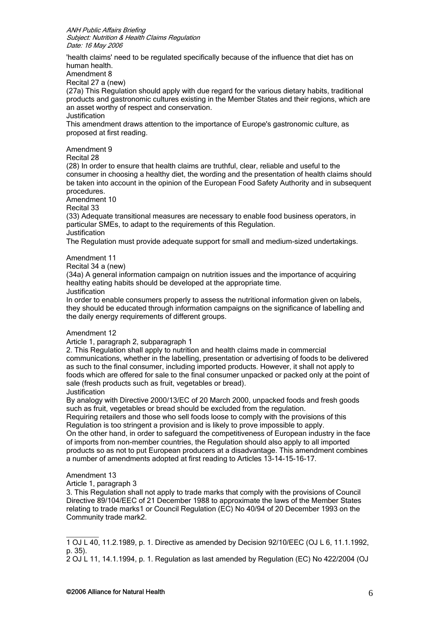'health claims' need to be regulated specifically because of the influence that diet has on human health.

Amendment 8

Recital 27 a (new)

(27a) This Regulation should apply with due regard for the various dietary habits, traditional products and gastronomic cultures existing in the Member States and their regions, which are an asset worthy of respect and conservation.

Justification

This amendment draws attention to the importance of Europe's gastronomic culture, as proposed at first reading.

Amendment 9

Recital 28

(28) In order to ensure that health claims are truthful, clear, reliable and useful to the consumer in choosing a healthy diet, the wording and the presentation of health claims should be taken into account in the opinion of the European Food Safety Authority and in subsequent procedures.

Amendment 10

Recital 33

(33) Adequate transitional measures are necessary to enable food business operators, in particular SMEs, to adapt to the requirements of this Regulation. Justification

The Regulation must provide adequate support for small and medium-sized undertakings.

# Amendment 11

Recital 34 a (new)

(34a) A general information campaign on nutrition issues and the importance of acquiring healthy eating habits should be developed at the appropriate time.

Justification

In order to enable consumers properly to assess the nutritional information given on labels, they should be educated through information campaigns on the significance of labelling and the daily energy requirements of different groups.

## Amendment 12

Article 1, paragraph 2, subparagraph 1

2. This Regulation shall apply to nutrition and health claims made in commercial communications, whether in the labelling, presentation or advertising of foods to be delivered as such to the final consumer, including imported products. However, it shall not apply to foods which are offered for sale to the final consumer unpacked or packed only at the point of sale (fresh products such as fruit, vegetables or bread).

Justification

By analogy with Directive 2000/13/EC of 20 March 2000, unpacked foods and fresh goods such as fruit, vegetables or bread should be excluded from the regulation.

Requiring retailers and those who sell foods loose to comply with the provisions of this Regulation is too stringent a provision and is likely to prove impossible to apply.

On the other hand, in order to safeguard the competitiveness of European industry in the face of imports from non-member countries, the Regulation should also apply to all imported products so as not to put European producers at a disadvantage. This amendment combines a number of amendments adopted at first reading to Articles 13-14-15-16-17.

# Amendment 13

 $\overline{\phantom{a}}$ 

Article 1, paragraph 3

3. This Regulation shall not apply to trade marks that comply with the provisions of Council Directive 89/104/EEC of 21 December 1988 to approximate the laws of the Member States relating to trade marks1 or Council Regulation (EC) No 40/94 of 20 December 1993 on the Community trade mark2.

<sup>1</sup> OJ L 40, 11.2.1989, p. 1. Directive as amended by Decision 92/10/EEC (OJ L 6, 11.1.1992, p. 35).

<sup>2</sup> OJ L 11, 14.1.1994, p. 1. Regulation as last amended by Regulation (EC) No 422/2004 (OJ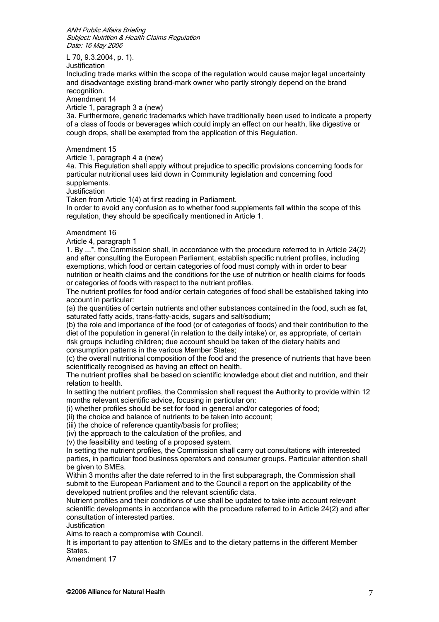L 70, 9.3.2004, p. 1).

Justification

Including trade marks within the scope of the regulation would cause major legal uncertainty and disadvantage existing brand-mark owner who partly strongly depend on the brand recognition.

Amendment 14

Article 1, paragraph 3 a (new)

3a. Furthermore, generic trademarks which have traditionally been used to indicate a property of a class of foods or beverages which could imply an effect on our health, like digestive or cough drops, shall be exempted from the application of this Regulation.

#### Amendment 15

Article 1, paragraph 4 a (new)

4a. This Regulation shall apply without prejudice to specific provisions concerning foods for particular nutritional uses laid down in Community legislation and concerning food supplements.

Justification

Taken from Article 1(4) at first reading in Parliament.

In order to avoid any confusion as to whether food supplements fall within the scope of this regulation, they should be specifically mentioned in Article 1.

#### Amendment 16

Article 4, paragraph 1

1. By ...\*, the Commission shall, in accordance with the procedure referred to in Article 24(2) and after consulting the European Parliament, establish specific nutrient profiles, including exemptions, which food or certain categories of food must comply with in order to bear nutrition or health claims and the conditions for the use of nutrition or health claims for foods or categories of foods with respect to the nutrient profiles.

The nutrient profiles for food and/or certain categories of food shall be established taking into account in particular:

(a) the quantities of certain nutrients and other substances contained in the food, such as fat, saturated fatty acids, trans-fatty-acids, sugars and salt/sodium;

(b) the role and importance of the food (or of categories of foods) and their contribution to the diet of the population in general (in relation to the daily intake) or, as appropriate, of certain risk groups including children; due account should be taken of the dietary habits and consumption patterns in the various Member States;

(c) the overall nutritional composition of the food and the presence of nutrients that have been scientifically recognised as having an effect on health.

The nutrient profiles shall be based on scientific knowledge about diet and nutrition, and their relation to health.

In setting the nutrient profiles, the Commission shall request the Authority to provide within 12 months relevant scientific advice, focusing in particular on:

(i) whether profiles should be set for food in general and/or categories of food;

(ii) the choice and balance of nutrients to be taken into account;

(iii) the choice of reference quantity/basis for profiles;

(iv) the approach to the calculation of the profiles, and

(v) the feasibility and testing of a proposed system.

In setting the nutrient profiles, the Commission shall carry out consultations with interested parties, in particular food business operators and consumer groups. Particular attention shall be given to SMEs.

Within 3 months after the date referred to in the first subparagraph, the Commission shall submit to the European Parliament and to the Council a report on the applicability of the developed nutrient profiles and the relevant scientific data.

Nutrient profiles and their conditions of use shall be updated to take into account relevant scientific developments in accordance with the procedure referred to in Article 24(2) and after consultation of interested parties.

**Justification** 

Aims to reach a compromise with Council.

It is important to pay attention to SMEs and to the dietary patterns in the different Member States.

Amendment 17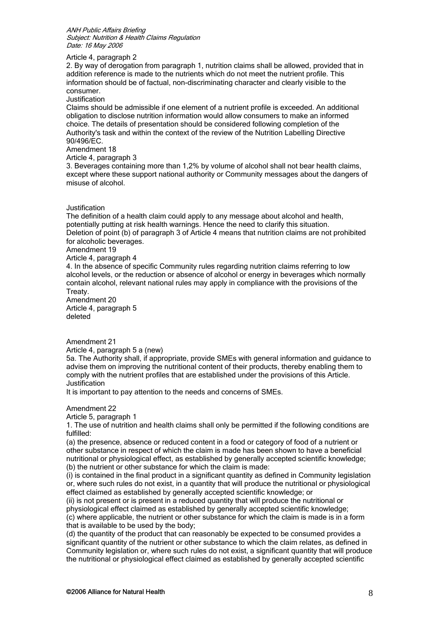#### Article 4, paragraph 2

2. By way of derogation from paragraph 1, nutrition claims shall be allowed, provided that in addition reference is made to the nutrients which do not meet the nutrient profile. This information should be of factual, non-discriminating character and clearly visible to the consumer.

**Justification** 

Claims should be admissible if one element of a nutrient profile is exceeded. An additional obligation to disclose nutrition information would allow consumers to make an informed choice. The details of presentation should be considered following completion of the Authority's task and within the context of the review of the Nutrition Labelling Directive 90/496/EC.

Amendment 18

Article 4, paragraph 3

3. Beverages containing more than 1,2% by volume of alcohol shall not bear health claims, except where these support national authority or Community messages about the dangers of misuse of alcohol.

#### Justification

The definition of a health claim could apply to any message about alcohol and health, potentially putting at risk health warnings. Hence the need to clarify this situation. Deletion of point (b) of paragraph 3 of Article 4 means that nutrition claims are not prohibited for alcoholic beverages.

## Amendment 19

Article 4, paragraph 4

4. In the absence of specific Community rules regarding nutrition claims referring to low alcohol levels, or the reduction or absence of alcohol or energy in beverages which normally contain alcohol, relevant national rules may apply in compliance with the provisions of the Treaty.

Amendment 20 Article 4, paragraph 5 deleted

Amendment 21

Article 4, paragraph 5 a (new)

5a. The Authority shall, if appropriate, provide SMEs with general information and guidance to advise them on improving the nutritional content of their products, thereby enabling them to comply with the nutrient profiles that are established under the provisions of this Article. Justification

It is important to pay attention to the needs and concerns of SMEs.

Amendment 22

Article 5, paragraph 1

1. The use of nutrition and health claims shall only be permitted if the following conditions are fulfilled:

(a) the presence, absence or reduced content in a food or category of food of a nutrient or other substance in respect of which the claim is made has been shown to have a beneficial nutritional or physiological effect, as established by generally accepted scientific knowledge; (b) the nutrient or other substance for which the claim is made:

(i) is contained in the final product in a significant quantity as defined in Community legislation or, where such rules do not exist, in a quantity that will produce the nutritional or physiological effect claimed as established by generally accepted scientific knowledge; or

(ii) is not present or is present in a reduced quantity that will produce the nutritional or physiological effect claimed as established by generally accepted scientific knowledge; (c) where applicable, the nutrient or other substance for which the claim is made is in a form that is available to be used by the body;

(d) the quantity of the product that can reasonably be expected to be consumed provides a significant quantity of the nutrient or other substance to which the claim relates, as defined in Community legislation or, where such rules do not exist, a significant quantity that will produce the nutritional or physiological effect claimed as established by generally accepted scientific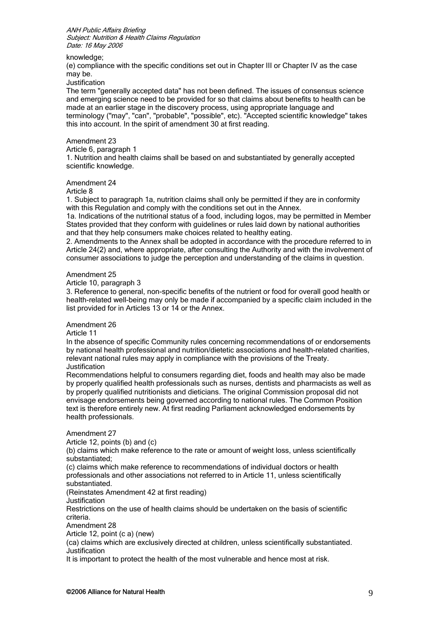knowledge;

(e) compliance with the specific conditions set out in Chapter III or Chapter IV as the case may be.

**Justification** 

The term "generally accepted data" has not been defined. The issues of consensus science and emerging science need to be provided for so that claims about benefits to health can be made at an earlier stage in the discovery process, using appropriate language and terminology ("may", "can", "probable", "possible", etc). "Accepted scientific knowledge" takes this into account. In the spirit of amendment 30 at first reading.

#### Amendment 23

Article 6, paragraph 1

1. Nutrition and health claims shall be based on and substantiated by generally accepted scientific knowledge.

Amendment 24

Article 8

1. Subject to paragraph 1a, nutrition claims shall only be permitted if they are in conformity with this Regulation and comply with the conditions set out in the Annex.

1a. Indications of the nutritional status of a food, including logos, may be permitted in Member States provided that they conform with guidelines or rules laid down by national authorities and that they help consumers make choices related to healthy eating.

2. Amendments to the Annex shall be adopted in accordance with the procedure referred to in Article 24(2) and, where appropriate, after consulting the Authority and with the involvement of consumer associations to judge the perception and understanding of the claims in question.

Amendment 25

Article 10, paragraph 3

3. Reference to general, non-specific benefits of the nutrient or food for overall good health or health-related well-being may only be made if accompanied by a specific claim included in the list provided for in Articles 13 or 14 or the Annex.

Amendment 26

Article 11

In the absence of specific Community rules concerning recommendations of or endorsements by national health professional and nutrition/dietetic associations and health-related charities, relevant national rules may apply in compliance with the provisions of the Treaty. Justification

Recommendations helpful to consumers regarding diet, foods and health may also be made by properly qualified health professionals such as nurses, dentists and pharmacists as well as by properly qualified nutritionists and dieticians. The original Commission proposal did not envisage endorsements being governed according to national rules. The Common Position text is therefore entirely new. At first reading Parliament acknowledged endorsements by health professionals.

Amendment 27 Article 12, points (b) and (c) (b) claims which make reference to the rate or amount of weight loss, unless scientifically substantiated; (c) claims which make reference to recommendations of individual doctors or health professionals and other associations not referred to in Article 11, unless scientifically substantiated. (Reinstates Amendment 42 at first reading) Justification Restrictions on the use of health claims should be undertaken on the basis of scientific criteria. Amendment 28 Article 12, point (c a) (new)

(ca) claims which are exclusively directed at children, unless scientifically substantiated. Justification

It is important to protect the health of the most vulnerable and hence most at risk.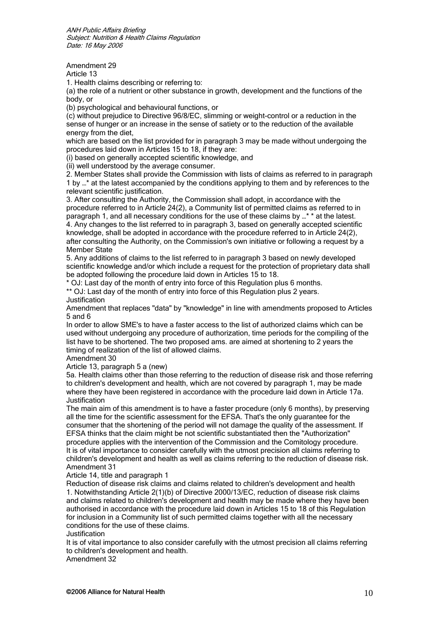Amendment 29

Article 13

1. Health claims describing or referring to:

(a) the role of a nutrient or other substance in growth, development and the functions of the body, or

(b) psychological and behavioural functions, or

(c) without prejudice to Directive 96/8/EC, slimming or weight-control or a reduction in the sense of hunger or an increase in the sense of satiety or to the reduction of the available energy from the diet,

which are based on the list provided for in paragraph 3 may be made without undergoing the procedures laid down in Articles 15 to 18, if they are:

(i) based on generally accepted scientific knowledge, and

(ii) well understood by the average consumer.

2. Member States shall provide the Commission with lists of claims as referred to in paragraph 1 by …\* at the latest accompanied by the conditions applying to them and by references to the relevant scientific justification.

3. After consulting the Authority, the Commission shall adopt, in accordance with the procedure referred to in Article 24(2), a Community list of permitted claims as referred to in paragraph 1, and all necessary conditions for the use of these claims by …\* \* at the latest. 4. Any changes to the list referred to in paragraph 3, based on generally accepted scientific knowledge, shall be adopted in accordance with the procedure referred to in Article 24(2), after consulting the Authority, on the Commission's own initiative or following a request by a Member State

5. Any additions of claims to the list referred to in paragraph 3 based on newly developed scientific knowledge and/or which include a request for the protection of proprietary data shall be adopted following the procedure laid down in Articles 15 to 18.

\* OJ: Last day of the month of entry into force of this Regulation plus 6 months.

\*\* OJ: Last day of the month of entry into force of this Regulation plus 2 years. Justification

Amendment that replaces "data" by "knowledge" in line with amendments proposed to Articles 5 and 6

In order to allow SME's to have a faster access to the list of authorized claims which can be used without undergoing any procedure of authorization, time periods for the compiling of the list have to be shortened. The two proposed ams. are aimed at shortening to 2 years the timing of realization of the list of allowed claims.

Amendment 30

Article 13, paragraph 5 a (new)

5a. Health claims other than those referring to the reduction of disease risk and those referring to children's development and health, which are not covered by paragraph 1, may be made where they have been registered in accordance with the procedure laid down in Article 17a. **Justification** 

The main aim of this amendment is to have a faster procedure (only 6 months), by preserving all the time for the scientific assessment for the EFSA. That's the only guarantee for the consumer that the shortening of the period will not damage the quality of the assessment. If EFSA thinks that the claim might be not scientific substantiated then the "Authorization" procedure applies with the intervention of the Commission and the Comitology procedure. It is of vital importance to consider carefully with the utmost precision all claims referring to children's development and health as well as claims referring to the reduction of disease risk. Amendment 31

Article 14, title and paragraph 1

Reduction of disease risk claims and claims related to children's development and health 1. Notwithstanding Article 2(1)(b) of Directive 2000/13/EC, reduction of disease risk claims and claims related to children's development and health may be made where they have been authorised in accordance with the procedure laid down in Articles 15 to 18 of this Regulation for inclusion in a Community list of such permitted claims together with all the necessary conditions for the use of these claims.

**Justification** 

It is of vital importance to also consider carefully with the utmost precision all claims referring to children's development and health.

Amendment 32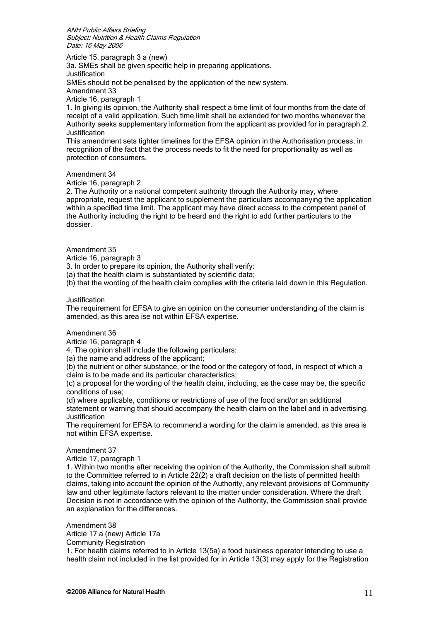Article 15, paragraph 3 a (new)

3a. SMEs shall be given specific help in preparing applications. **Justification** SMEs should not be penalised by the application of the new system. Amendment 33 Article 16, paragraph 1

1. In giving its opinion, the Authority shall respect a time limit of four months from the date of receipt of a valid application. Such time limit shall be extended for two months whenever the Authority seeks supplementary information from the applicant as provided for in paragraph 2. Justification

This amendment sets tighter timelines for the EFSA opinion in the Authorisation process, in recognition of the fact that the process needs to fit the need for proportionality as well as protection of consumers.

Amendment 34

Article 16, paragraph 2

2. The Authority or a national competent authority through the Authority may, where appropriate, request the applicant to supplement the particulars accompanying the application within a specified time limit. The applicant may have direct access to the competent panel of the Authority including the right to be heard and the right to add further particulars to the dossier.

#### Amendment 35

Article 16, paragraph 3

3. In order to prepare its opinion, the Authority shall verify:

(a) that the health claim is substantiated by scientific data;

(b) that the wording of the health claim complies with the criteria laid down in this Regulation.

#### Justification

The requirement for EFSA to give an opinion on the consumer understanding of the claim is amended, as this area ise not within EFSA expertise.

#### Amendment 36

Article 16, paragraph 4

4. The opinion shall include the following particulars:

(a) the name and address of the applicant;

(b) the nutrient or other substance, or the food or the category of food, in respect of which a claim is to be made and its particular characteristics;

(c) a proposal for the wording of the health claim, including, as the case may be, the specific conditions of use;

(d) where applicable, conditions or restrictions of use of the food and/or an additional statement or warning that should accompany the health claim on the label and in advertising. Justification

The requirement for EFSA to recommend a wording for the claim is amended, as this area is not within EFSA expertise.

#### Amendment 37

Article 17, paragraph 1

1. Within two months after receiving the opinion of the Authority, the Commission shall submit to the Committee referred to in Article 22(2) a draft decision on the lists of permitted health claims, taking into account the opinion of the Authority, any relevant provisions of Community law and other legitimate factors relevant to the matter under consideration. Where the draft Decision is not in accordance with the opinion of the Authority, the Commission shall provide an explanation for the differences.

Amendment 38 Article 17 a (new) Article 17a Community Registration

1. For health claims referred to in Article 13(5a) a food business operator intending to use a health claim not included in the list provided for in Article 13(3) may apply for the Registration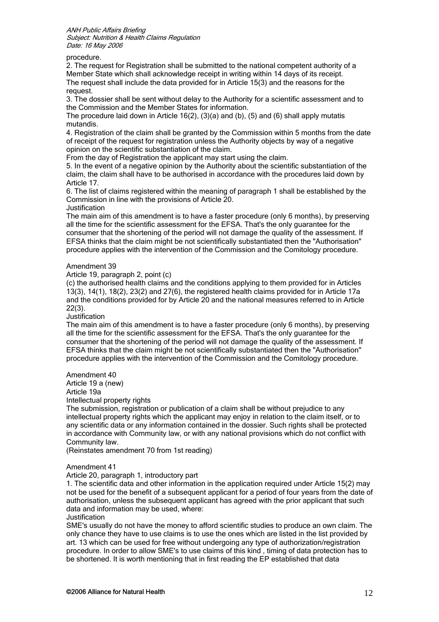procedure.

2. The request for Registration shall be submitted to the national competent authority of a Member State which shall acknowledge receipt in writing within 14 days of its receipt. The request shall include the data provided for in Article 15(3) and the reasons for the request.

3. The dossier shall be sent without delay to the Authority for a scientific assessment and to the Commission and the Member States for information.

The procedure laid down in Article 16(2),  $(3)(a)$  and (b),  $(5)$  and (6) shall apply mutatis mutandis.

4. Registration of the claim shall be granted by the Commission within 5 months from the date of receipt of the request for registration unless the Authority objects by way of a negative opinion on the scientific substantiation of the claim.

From the day of Registration the applicant may start using the claim.

5. In the event of a negative opinion by the Authority about the scientific substantiation of the claim, the claim shall have to be authorised in accordance with the procedures laid down by Article 17.

6. The list of claims registered within the meaning of paragraph 1 shall be established by the Commission in line with the provisions of Article 20.

Justification

The main aim of this amendment is to have a faster procedure (only 6 months), by preserving all the time for the scientific assessment for the EFSA. That's the only guarantee for the consumer that the shortening of the period will not damage the quality of the assessment. If EFSA thinks that the claim might be not scientifically substantiated then the "Authorisation" procedure applies with the intervention of the Commission and the Comitology procedure.

## Amendment 39

Article 19, paragraph 2, point (c)

(c) the authorised health claims and the conditions applying to them provided for in Articles 13(3), 14(1), 18(2), 23(2) and 27(6), the registered health claims provided for in Article 17a and the conditions provided for by Article 20 and the national measures referred to in Article 22(3).

**Justification** 

The main aim of this amendment is to have a faster procedure (only 6 months), by preserving all the time for the scientific assessment for the EFSA. That's the only guarantee for the consumer that the shortening of the period will not damage the quality of the assessment. If EFSA thinks that the claim might be not scientifically substantiated then the "Authorisation" procedure applies with the intervention of the Commission and the Comitology procedure.

## Amendment 40

Article 19 a (new)

Article 19a

Intellectual property rights

The submission, registration or publication of a claim shall be without prejudice to any intellectual property rights which the applicant may enjoy in relation to the claim itself, or to any scientific data or any information contained in the dossier. Such rights shall be protected in accordance with Community law, or with any national provisions which do not conflict with Community law.

(Reinstates amendment 70 from 1st reading)

#### Amendment 41

Article 20, paragraph 1, introductory part

1. The scientific data and other information in the application required under Article 15(2) may not be used for the benefit of a subsequent applicant for a period of four years from the date of authorisation, unless the subsequent applicant has agreed with the prior applicant that such data and information may be used, where:

Justification

SME's usually do not have the money to afford scientific studies to produce an own claim. The only chance they have to use claims is to use the ones which are listed in the list provided by art. 13 which can be used for free without undergoing any type of authorization/registration procedure. In order to allow SME's to use claims of this kind , timing of data protection has to be shortened. It is worth mentioning that in first reading the EP established that data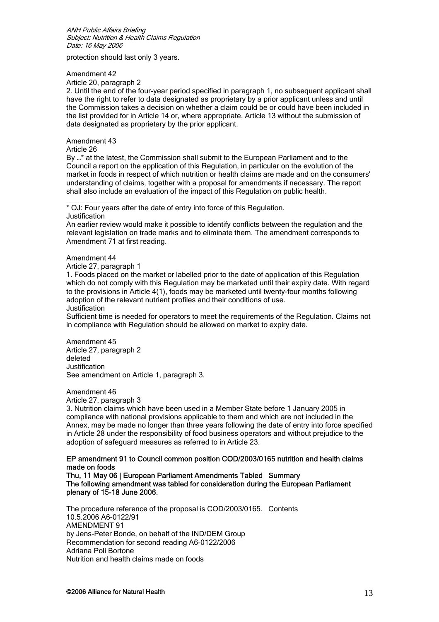protection should last only 3 years.

Amendment 42

Article 20, paragraph 2

2. Until the end of the four-year period specified in paragraph 1, no subsequent applicant shall have the right to refer to data designated as proprietary by a prior applicant unless and until the Commission takes a decision on whether a claim could be or could have been included in the list provided for in Article 14 or, where appropriate, Article 13 without the submission of data designated as proprietary by the prior applicant.

Amendment 43

Article 26

By ...\* at the latest, the Commission shall submit to the European Parliament and to the Council a report on the application of this Regulation, in particular on the evolution of the market in foods in respect of which nutrition or health claims are made and on the consumers' understanding of claims, together with a proposal for amendments if necessary. The report shall also include an evaluation of the impact of this Regulation on public health.

\* OJ: Four years after the date of entry into force of this Regulation.

Justification

 $\frac{1}{2}$  ,  $\frac{1}{2}$  ,  $\frac{1}{2}$  ,  $\frac{1}{2}$  ,  $\frac{1}{2}$  ,  $\frac{1}{2}$  ,  $\frac{1}{2}$ 

An earlier review would make it possible to identify conflicts between the regulation and the relevant legislation on trade marks and to eliminate them. The amendment corresponds to Amendment 71 at first reading.

## Amendment 44

Article 27, paragraph 1

1. Foods placed on the market or labelled prior to the date of application of this Regulation which do not comply with this Regulation may be marketed until their expiry date. With regard to the provisions in Article 4(1), foods may be marketed until twenty-four months following adoption of the relevant nutrient profiles and their conditions of use. Justification

Sufficient time is needed for operators to meet the requirements of the Regulation. Claims not in compliance with Regulation should be allowed on market to expiry date.

Amendment 45 Article 27, paragraph 2 deleted **Justification** See amendment on Article 1, paragraph 3.

## Amendment 46

Article 27, paragraph 3

3. Nutrition claims which have been used in a Member State before 1 January 2005 in compliance with national provisions applicable to them and which are not included in the Annex, may be made no longer than three years following the date of entry into force specified in Article 28 under the responsibility of food business operators and without prejudice to the adoption of safeguard measures as referred to in Article 23.

## EP amendment 91 to Council common position COD/2003/0165 nutrition and health claims made on foods

Thu, 11 May 06 | European Parliament Amendments Tabled Summary The following amendment was tabled for consideration during the European Parliament plenary of 15-18 June 2006.

The procedure reference of the proposal is COD/2003/0165. Contents 10.5.2006 A6-0122/91 AMENDMENT 91 by Jens-Peter Bonde, on behalf of the IND/DEM Group Recommendation for second reading A6-0122/2006 Adriana Poli Bortone Nutrition and health claims made on foods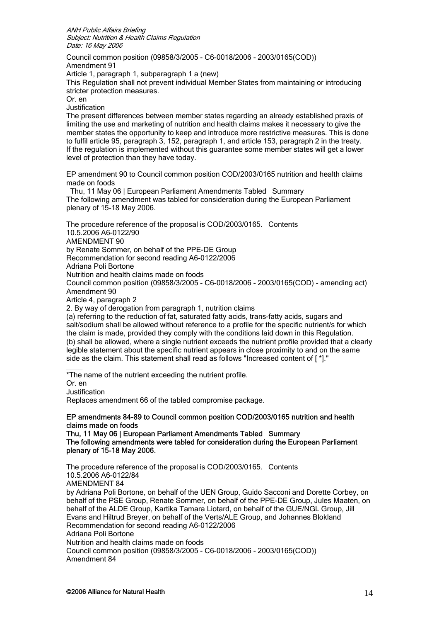Council common position (09858/3/2005 - C6-0018/2006 - 2003/0165(COD)) Amendment 91

Article 1, paragraph 1, subparagraph 1 a (new)

This Regulation shall not prevent individual Member States from maintaining or introducing stricter protection measures.

Or. en

Justification

The present differences between member states regarding an already established praxis of limiting the use and marketing of nutrition and health claims makes it necessary to give the member states the opportunity to keep and introduce more restrictive measures. This is done to fulfil article 95, paragraph 3, 152, paragraph 1, and article 153, paragraph 2 in the treaty. If the regulation is implemented without this guarantee some member states will get a lower level of protection than they have today.

EP amendment 90 to Council common position COD/2003/0165 nutrition and health claims made on foods

 Thu, 11 May 06 | European Parliament Amendments Tabled Summary The following amendment was tabled for consideration during the European Parliament plenary of 15-18 May 2006.

The procedure reference of the proposal is COD/2003/0165. Contents 10.5.2006 A6-0122/90 AMENDMENT 90 by Renate Sommer, on behalf of the PPE-DE Group Recommendation for second reading A6-0122/2006 Adriana Poli Bortone Nutrition and health claims made on foods Council common position (09858/3/2005 - C6-0018/2006 - 2003/0165(COD) - amending act) Amendment 90 Article 4, paragraph 2 2. By way of derogation from paragraph 1, nutrition claims

(a) referring to the reduction of fat, saturated fatty acids, trans-fatty acids, sugars and salt/sodium shall be allowed without reference to a profile for the specific nutrient/s for which the claim is made, provided they comply with the conditions laid down in this Regulation. (b) shall be allowed, where a single nutrient exceeds the nutrient profile provided that a clearly legible statement about the specific nutrient appears in close proximity to and on the same side as the claim. This statement shall read as follows "Increased content of [ \*]."

 $\frac{1}{2}$ \*The name of the nutrient exceeding the nutrient profile.

Or. en

Justification

Replaces amendment 66 of the tabled compromise package.

## EP amendments 84-89 to Council common position COD/2003/0165 nutrition and health claims made on foods

Thu, 11 May 06 | European Parliament Amendments Tabled Summary The following amendments were tabled for consideration during the European Parliament plenary of 15-18 May 2006.

The procedure reference of the proposal is COD/2003/0165. Contents 10.5.2006 A6-0122/84 AMENDMENT 84 by Adriana Poli Bortone, on behalf of the UEN Group, Guido Sacconi and Dorette Corbey, on behalf of the PSE Group, Renate Sommer, on behalf of the PPE-DE Group, Jules Maaten, on behalf of the ALDE Group, Kartika Tamara Liotard, on behalf of the GUE/NGL Group, Jill Evans and Hiltrud Breyer, on behalf of the Verts/ALE Group, and Johannes Blokland Recommendation for second reading A6-0122/2006 Adriana Poli Bortone Nutrition and health claims made on foods Council common position (09858/3/2005 - C6-0018/2006 - 2003/0165(COD)) Amendment 84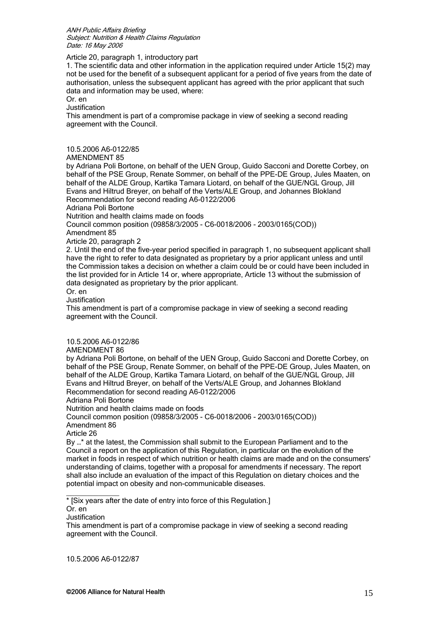## Article 20, paragraph 1, introductory part

1. The scientific data and other information in the application required under Article 15(2) may not be used for the benefit of a subsequent applicant for a period of five years from the date of authorisation, unless the subsequent applicant has agreed with the prior applicant that such data and information may be used, where:

Or. en

Justification

This amendment is part of a compromise package in view of seeking a second reading agreement with the Council.

10.5.2006 A6-0122/85

AMENDMENT 85

by Adriana Poli Bortone, on behalf of the UEN Group, Guido Sacconi and Dorette Corbey, on behalf of the PSE Group, Renate Sommer, on behalf of the PPE-DE Group, Jules Maaten, on behalf of the ALDE Group, Kartika Tamara Liotard, on behalf of the GUE/NGL Group, Jill Evans and Hiltrud Breyer, on behalf of the Verts/ALE Group, and Johannes Blokland Recommendation for second reading A6-0122/2006

Adriana Poli Bortone

Nutrition and health claims made on foods

Council common position (09858/3/2005 - C6-0018/2006 - 2003/0165(COD))

Amendment 85

Article 20, paragraph 2

2. Until the end of the five-year period specified in paragraph 1, no subsequent applicant shall have the right to refer to data designated as proprietary by a prior applicant unless and until the Commission takes a decision on whether a claim could be or could have been included in the list provided for in Article 14 or, where appropriate, Article 13 without the submission of data designated as proprietary by the prior applicant.

Or. en

Justification

This amendment is part of a compromise package in view of seeking a second reading agreement with the Council.

10.5.2006 A6-0122/86

AMENDMENT 86

by Adriana Poli Bortone, on behalf of the UEN Group, Guido Sacconi and Dorette Corbey, on behalf of the PSE Group, Renate Sommer, on behalf of the PPE-DE Group, Jules Maaten, on behalf of the ALDE Group, Kartika Tamara Liotard, on behalf of the GUE/NGL Group, Jill Evans and Hiltrud Breyer, on behalf of the Verts/ALE Group, and Johannes Blokland Recommendation for second reading A6-0122/2006

Adriana Poli Bortone

Nutrition and health claims made on foods

Council common position (09858/3/2005 - C6-0018/2006 - 2003/0165(COD)) Amendment 86

Article 26

By ...\* at the latest, the Commission shall submit to the European Parliament and to the Council a report on the application of this Regulation, in particular on the evolution of the market in foods in respect of which nutrition or health claims are made and on the consumers' understanding of claims, together with a proposal for amendments if necessary. The report shall also include an evaluation of the impact of this Regulation on dietary choices and the potential impact on obesity and non-communicable diseases.

\* [Six years after the date of entry into force of this Regulation.]

Or. en

Justification

 $\overline{\phantom{a}}$  , where  $\overline{\phantom{a}}$ 

This amendment is part of a compromise package in view of seeking a second reading agreement with the Council.

10.5.2006 A6-0122/87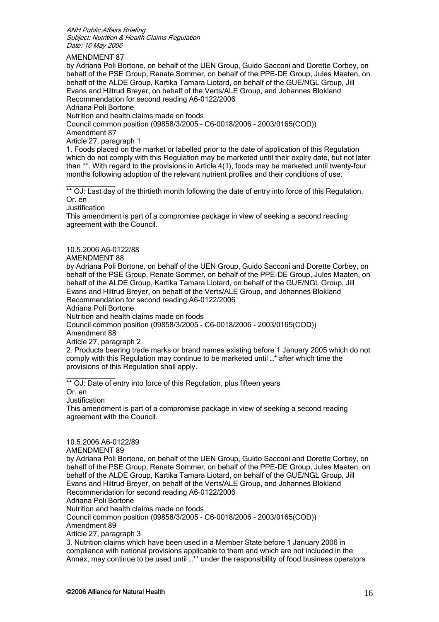AMENDMENT 87

by Adriana Poli Bortone, on behalf of the UEN Group, Guido Sacconi and Dorette Corbey, on behalf of the PSE Group, Renate Sommer, on behalf of the PPE-DE Group, Jules Maaten, on behalf of the ALDE Group, Kartika Tamara Liotard, on behalf of the GUE/NGL Group, Jill Evans and Hiltrud Breyer, on behalf of the Verts/ALE Group, and Johannes Blokland Recommendation for second reading A6-0122/2006

Adriana Poli Bortone Nutrition and health claims made on foods

Council common position (09858/3/2005 - C6-0018/2006 - 2003/0165(COD))

Amendment 87

Article 27, paragraph 1

1. Foods placed on the market or labelled prior to the date of application of this Regulation which do not comply with this Regulation may be marketed until their expiry date, but not later than \*\*. With regard to the provisions in Article 4(1), foods may be marketed until twenty-four months following adoption of the relevant nutrient profiles and their conditions of use.

 $\overline{\phantom{a}}$  ,  $\overline{\phantom{a}}$  ,  $\overline{\phantom{a}}$  ,  $\overline{\phantom{a}}$  ,  $\overline{\phantom{a}}$  ,  $\overline{\phantom{a}}$  ,  $\overline{\phantom{a}}$  ,  $\overline{\phantom{a}}$  ,  $\overline{\phantom{a}}$  ,  $\overline{\phantom{a}}$  ,  $\overline{\phantom{a}}$  ,  $\overline{\phantom{a}}$  ,  $\overline{\phantom{a}}$  ,  $\overline{\phantom{a}}$  ,  $\overline{\phantom{a}}$  ,  $\overline{\phantom{a}}$ \*\* OJ: Last day of the thirtieth month following the date of entry into force of this Regulation. Or. en

Justification

This amendment is part of a compromise package in view of seeking a second reading agreement with the Council.

## 10.5.2006 A6-0122/88

AMENDMENT 88

by Adriana Poli Bortone, on behalf of the UEN Group, Guido Sacconi and Dorette Corbey, on behalf of the PSE Group, Renate Sommer, on behalf of the PPE-DE Group, Jules Maaten, on behalf of the ALDE Group, Kartika Tamara Liotard, on behalf of the GUE/NGL Group, Jill Evans and Hiltrud Breyer, on behalf of the Verts/ALE Group, and Johannes Blokland Recommendation for second reading A6-0122/2006

Adriana Poli Bortone

Nutrition and health claims made on foods

Council common position (09858/3/2005 - C6-0018/2006 - 2003/0165(COD)) Amendment 88

Article 27, paragraph 2

2. Products bearing trade marks or brand names existing before 1 January 2005 which do not comply with this Regulation may continue to be marketed until …\* after which time the provisions of this Regulation shall apply.

 $\frac{1}{2}$  ,  $\frac{1}{2}$  ,  $\frac{1}{2}$  ,  $\frac{1}{2}$  ,  $\frac{1}{2}$  ,  $\frac{1}{2}$ \*\* OJ: Date of entry into force of this Regulation, plus fifteen years

Or. en

Justification

This amendment is part of a compromise package in view of seeking a second reading agreement with the Council.

10.5.2006 A6-0122/89

AMENDMENT 89

by Adriana Poli Bortone, on behalf of the UEN Group, Guido Sacconi and Dorette Corbey, on behalf of the PSE Group, Renate Sommer, on behalf of the PPE-DE Group, Jules Maaten, on behalf of the ALDE Group, Kartika Tamara Liotard, on behalf of the GUE/NGL Group, Jill Evans and Hiltrud Breyer, on behalf of the Verts/ALE Group, and Johannes Blokland Recommendation for second reading A6-0122/2006

Adriana Poli Bortone

Nutrition and health claims made on foods

Council common position (09858/3/2005 - C6-0018/2006 - 2003/0165(COD)) Amendment 89

Article 27, paragraph 3

3. Nutrition claims which have been used in a Member State before 1 January 2006 in compliance with national provisions applicable to them and which are not included in the Annex, may continue to be used until …\*\* under the responsibility of food business operators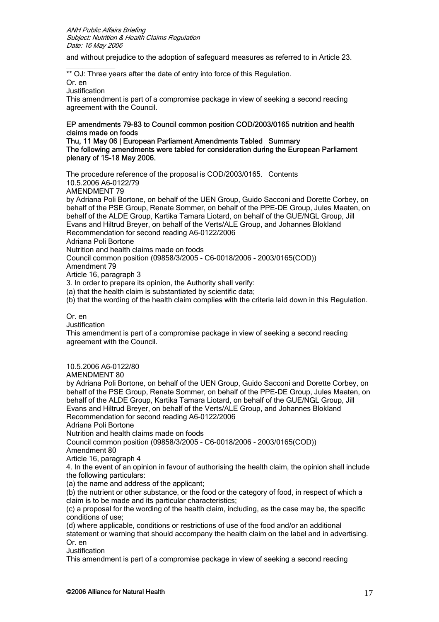and without prejudice to the adoption of safeguard measures as referred to in Article 23.

 $\frac{1}{2}$  ,  $\frac{1}{2}$  ,  $\frac{1}{2}$  ,  $\frac{1}{2}$  ,  $\frac{1}{2}$  ,  $\frac{1}{2}$  ,  $\frac{1}{2}$ \*\* OJ: Three years after the date of entry into force of this Regulation.

Or. en

**Justification** 

This amendment is part of a compromise package in view of seeking a second reading agreement with the Council.

# EP amendments 79-83 to Council common position COD/2003/0165 nutrition and health claims made on foods

#### Thu, 11 May 06 | European Parliament Amendments Tabled Summary The following amendments were tabled for consideration during the European Parliament plenary of 15-18 May 2006.

The procedure reference of the proposal is COD/2003/0165. Contents 10.5.2006 A6-0122/79 AMENDMENT 79 by Adriana Poli Bortone, on behalf of the UEN Group, Guido Sacconi and Dorette Corbey, on behalf of the PSE Group, Renate Sommer, on behalf of the PPE-DE Group, Jules Maaten, on behalf of the ALDE Group, Kartika Tamara Liotard, on behalf of the GUE/NGL Group, Jill Evans and Hiltrud Breyer, on behalf of the Verts/ALE Group, and Johannes Blokland Recommendation for second reading A6-0122/2006 Adriana Poli Bortone Nutrition and health claims made on foods Council common position (09858/3/2005 - C6-0018/2006 - 2003/0165(COD)) Amendment 79 Article 16, paragraph 3 3. In order to prepare its opinion, the Authority shall verify: (a) that the health claim is substantiated by scientific data; (b) that the wording of the health claim complies with the criteria laid down in this Regulation. Or. en

**Justification** 

This amendment is part of a compromise package in view of seeking a second reading agreement with the Council.

10.5.2006 A6-0122/80

AMENDMENT 80

by Adriana Poli Bortone, on behalf of the UEN Group, Guido Sacconi and Dorette Corbey, on behalf of the PSE Group, Renate Sommer, on behalf of the PPE-DE Group, Jules Maaten, on behalf of the ALDE Group, Kartika Tamara Liotard, on behalf of the GUE/NGL Group, Jill Evans and Hiltrud Breyer, on behalf of the Verts/ALE Group, and Johannes Blokland Recommendation for second reading A6-0122/2006

Adriana Poli Bortone

Nutrition and health claims made on foods

Council common position (09858/3/2005 - C6-0018/2006 - 2003/0165(COD)) Amendment 80

Article 16, paragraph 4

4. In the event of an opinion in favour of authorising the health claim, the opinion shall include the following particulars:

(a) the name and address of the applicant;

(b) the nutrient or other substance, or the food or the category of food, in respect of which a claim is to be made and its particular characteristics;

(c) a proposal for the wording of the health claim, including, as the case may be, the specific conditions of use;

(d) where applicable, conditions or restrictions of use of the food and/or an additional statement or warning that should accompany the health claim on the label and in advertising. Or. en

**Justification** 

This amendment is part of a compromise package in view of seeking a second reading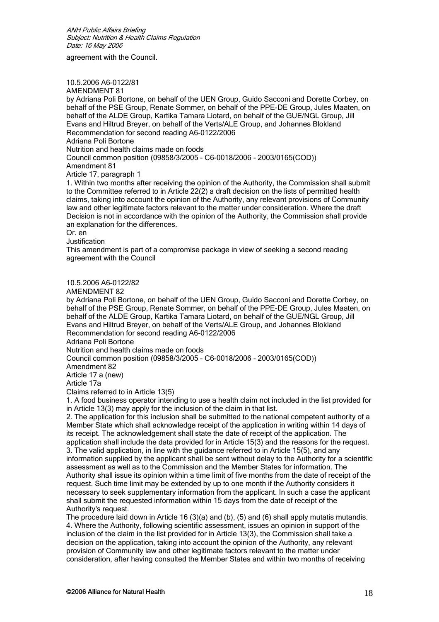agreement with the Council.

10.5.2006 A6-0122/81

AMENDMENT 81

by Adriana Poli Bortone, on behalf of the UEN Group, Guido Sacconi and Dorette Corbey, on behalf of the PSE Group, Renate Sommer, on behalf of the PPE-DE Group, Jules Maaten, on behalf of the ALDE Group, Kartika Tamara Liotard, on behalf of the GUE/NGL Group, Jill Evans and Hiltrud Breyer, on behalf of the Verts/ALE Group, and Johannes Blokland Recommendation for second reading A6-0122/2006 Adriana Poli Bortone

Nutrition and health claims made on foods

Council common position (09858/3/2005 - C6-0018/2006 - 2003/0165(COD)) Amendment 81

Article 17, paragraph 1

1. Within two months after receiving the opinion of the Authority, the Commission shall submit to the Committee referred to in Article 22(2) a draft decision on the lists of permitted health claims, taking into account the opinion of the Authority, any relevant provisions of Community law and other legitimate factors relevant to the matter under consideration. Where the draft Decision is not in accordance with the opinion of the Authority, the Commission shall provide an explanation for the differences.

Or. en

Justification

This amendment is part of a compromise package in view of seeking a second reading agreement with the Council

10.5.2006 A6-0122/82

AMENDMENT 82

by Adriana Poli Bortone, on behalf of the UEN Group, Guido Sacconi and Dorette Corbey, on behalf of the PSE Group, Renate Sommer, on behalf of the PPE-DE Group, Jules Maaten, on behalf of the ALDE Group, Kartika Tamara Liotard, on behalf of the GUE/NGL Group, Jill Evans and Hiltrud Breyer, on behalf of the Verts/ALE Group, and Johannes Blokland Recommendation for second reading A6-0122/2006

Adriana Poli Bortone

Nutrition and health claims made on foods

Council common position (09858/3/2005 - C6-0018/2006 - 2003/0165(COD))

Amendment 82

Article 17 a (new)

Article 17a

Claims referred to in Article 13(5)

1. A food business operator intending to use a health claim not included in the list provided for in Article 13(3) may apply for the inclusion of the claim in that list.

2. The application for this inclusion shall be submitted to the national competent authority of a Member State which shall acknowledge receipt of the application in writing within 14 days of its receipt. The acknowledgement shall state the date of receipt of the application. The application shall include the data provided for in Article 15(3) and the reasons for the request. 3. The valid application, in line with the guidance referred to in Article 15(5), and any information supplied by the applicant shall be sent without delay to the Authority for a scientific assessment as well as to the Commission and the Member States for information. The Authority shall issue its opinion within a time limit of five months from the date of receipt of the request. Such time limit may be extended by up to one month if the Authority considers it necessary to seek supplementary information from the applicant. In such a case the applicant shall submit the requested information within 15 days from the date of receipt of the Authority's request.

The procedure laid down in Article 16 (3)(a) and (b), (5) and (6) shall apply mutatis mutandis. 4. Where the Authority, following scientific assessment, issues an opinion in support of the inclusion of the claim in the list provided for in Article 13(3), the Commission shall take a decision on the application, taking into account the opinion of the Authority, any relevant provision of Community law and other legitimate factors relevant to the matter under consideration, after having consulted the Member States and within two months of receiving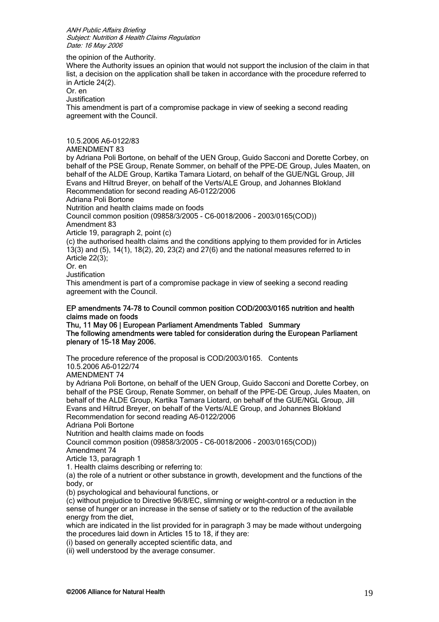the opinion of the Authority.

Where the Authority issues an opinion that would not support the inclusion of the claim in that list, a decision on the application shall be taken in accordance with the procedure referred to in Article 24(2).

Or. en

**Justification** 

This amendment is part of a compromise package in view of seeking a second reading agreement with the Council.

10.5.2006 A6-0122/83

## AMENDMENT 83

by Adriana Poli Bortone, on behalf of the UEN Group, Guido Sacconi and Dorette Corbey, on behalf of the PSE Group, Renate Sommer, on behalf of the PPE-DE Group, Jules Maaten, on behalf of the ALDE Group, Kartika Tamara Liotard, on behalf of the GUE/NGL Group, Jill Evans and Hiltrud Breyer, on behalf of the Verts/ALE Group, and Johannes Blokland Recommendation for second reading A6-0122/2006

Adriana Poli Bortone

Nutrition and health claims made on foods

Council common position (09858/3/2005 - C6-0018/2006 - 2003/0165(COD))

Amendment 83

Article 19, paragraph 2, point (c)

(c) the authorised health claims and the conditions applying to them provided for in Articles 13(3) and (5), 14(1), 18(2), 20, 23(2) and 27(6) and the national measures referred to in Article 22(3);

Or. en

Justification

This amendment is part of a compromise package in view of seeking a second reading agreement with the Council.

## EP amendments 74-78 to Council common position COD/2003/0165 nutrition and health claims made on foods

Thu, 11 May 06 | European Parliament Amendments Tabled Summary The following amendments were tabled for consideration during the European Parliament plenary of 15-18 May 2006.

The procedure reference of the proposal is COD/2003/0165. Contents

10.5.2006 A6-0122/74

AMENDMENT 74

by Adriana Poli Bortone, on behalf of the UEN Group, Guido Sacconi and Dorette Corbey, on behalf of the PSE Group, Renate Sommer, on behalf of the PPE-DE Group, Jules Maaten, on behalf of the ALDE Group, Kartika Tamara Liotard, on behalf of the GUE/NGL Group, Jill Evans and Hiltrud Breyer, on behalf of the Verts/ALE Group, and Johannes Blokland Recommendation for second reading A6-0122/2006

Adriana Poli Bortone

Nutrition and health claims made on foods

Council common position (09858/3/2005 - C6-0018/2006 - 2003/0165(COD)) Amendment 74

Article 13, paragraph 1

1. Health claims describing or referring to:

(a) the role of a nutrient or other substance in growth, development and the functions of the body, or

(b) psychological and behavioural functions, or

(c) without prejudice to Directive 96/8/EC, slimming or weight-control or a reduction in the sense of hunger or an increase in the sense of satiety or to the reduction of the available energy from the diet,

which are indicated in the list provided for in paragraph 3 may be made without undergoing the procedures laid down in Articles 15 to 18, if they are:

(i) based on generally accepted scientific data, and

(ii) well understood by the average consumer.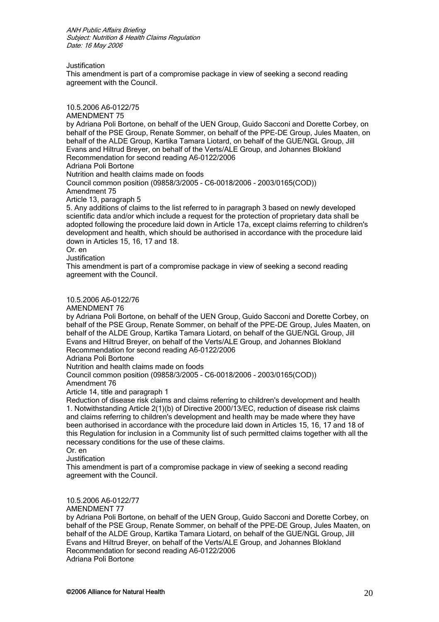Justification

This amendment is part of a compromise package in view of seeking a second reading agreement with the Council.

10.5.2006 A6-0122/75

AMENDMENT 75 by Adriana Poli Bortone, on behalf of the UEN Group, Guido Sacconi and Dorette Corbey, on behalf of the PSE Group, Renate Sommer, on behalf of the PPE-DE Group, Jules Maaten, on behalf of the ALDE Group, Kartika Tamara Liotard, on behalf of the GUE/NGL Group, Jill Evans and Hiltrud Breyer, on behalf of the Verts/ALE Group, and Johannes Blokland Recommendation for second reading A6-0122/2006

Adriana Poli Bortone

Nutrition and health claims made on foods

Council common position (09858/3/2005 - C6-0018/2006 - 2003/0165(COD)) Amendment 75

Article 13, paragraph 5

5. Any additions of claims to the list referred to in paragraph 3 based on newly developed scientific data and/or which include a request for the protection of proprietary data shall be adopted following the procedure laid down in Article 17a, except claims referring to children's development and health, which should be authorised in accordance with the procedure laid down in Articles 15, 16, 17 and 18.

Or. en

Justification

This amendment is part of a compromise package in view of seeking a second reading agreement with the Council.

10.5.2006 A6-0122/76

AMENDMENT 76

by Adriana Poli Bortone, on behalf of the UEN Group, Guido Sacconi and Dorette Corbey, on behalf of the PSE Group, Renate Sommer, on behalf of the PPE-DE Group, Jules Maaten, on behalf of the ALDE Group, Kartika Tamara Liotard, on behalf of the GUE/NGL Group, Jill Evans and Hiltrud Breyer, on behalf of the Verts/ALE Group, and Johannes Blokland Recommendation for second reading A6-0122/2006

Adriana Poli Bortone

Nutrition and health claims made on foods

Council common position (09858/3/2005 - C6-0018/2006 - 2003/0165(COD)) Amendment 76

Article 14, title and paragraph 1

Reduction of disease risk claims and claims referring to children's development and health 1. Notwithstanding Article 2(1)(b) of Directive 2000/13/EC, reduction of disease risk claims and claims referring to children's development and health may be made where they have been authorised in accordance with the procedure laid down in Articles 15, 16, 17 and 18 of this Regulation for inclusion in a Community list of such permitted claims together with all the necessary conditions for the use of these claims.

Or. en

Justification

This amendment is part of a compromise package in view of seeking a second reading agreement with the Council.

10.5.2006 A6-0122/77

AMENDMENT 77

by Adriana Poli Bortone, on behalf of the UEN Group, Guido Sacconi and Dorette Corbey, on behalf of the PSE Group, Renate Sommer, on behalf of the PPE-DE Group, Jules Maaten, on behalf of the ALDE Group, Kartika Tamara Liotard, on behalf of the GUE/NGL Group, Jill Evans and Hiltrud Breyer, on behalf of the Verts/ALE Group, and Johannes Blokland Recommendation for second reading A6-0122/2006 Adriana Poli Bortone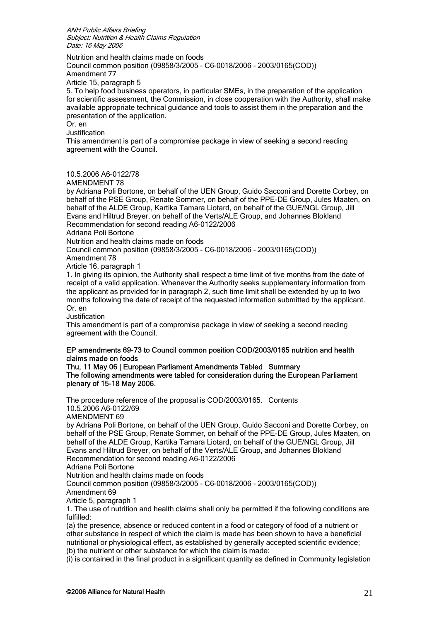Nutrition and health claims made on foods

Council common position (09858/3/2005 - C6-0018/2006 - 2003/0165(COD)) Amendment 77

Article 15, paragraph 5

5. To help food business operators, in particular SMEs, in the preparation of the application for scientific assessment, the Commission, in close cooperation with the Authority, shall make available appropriate technical guidance and tools to assist them in the preparation and the presentation of the application.

Or. en

Justification

This amendment is part of a compromise package in view of seeking a second reading agreement with the Council.

## 10.5.2006 A6-0122/78

AMENDMENT 78

by Adriana Poli Bortone, on behalf of the UEN Group, Guido Sacconi and Dorette Corbey, on behalf of the PSE Group, Renate Sommer, on behalf of the PPE-DE Group, Jules Maaten, on behalf of the ALDE Group, Kartika Tamara Liotard, on behalf of the GUE/NGL Group, Jill Evans and Hiltrud Breyer, on behalf of the Verts/ALE Group, and Johannes Blokland Recommendation for second reading A6-0122/2006

Adriana Poli Bortone

Nutrition and health claims made on foods

Council common position (09858/3/2005 - C6-0018/2006 - 2003/0165(COD))

Amendment 78

Article 16, paragraph 1

1. In giving its opinion, the Authority shall respect a time limit of five months from the date of receipt of a valid application. Whenever the Authority seeks supplementary information from the applicant as provided for in paragraph 2, such time limit shall be extended by up to two months following the date of receipt of the requested information submitted by the applicant. Or. en

**Justification** 

This amendment is part of a compromise package in view of seeking a second reading agreement with the Council.

## EP amendments 69-73 to Council common position COD/2003/0165 nutrition and health claims made on foods

Thu, 11 May 06 | European Parliament Amendments Tabled Summary The following amendments were tabled for consideration during the European Parliament plenary of 15-18 May 2006.

The procedure reference of the proposal is COD/2003/0165. Contents 10.5.2006 A6-0122/69

AMENDMENT 69

by Adriana Poli Bortone, on behalf of the UEN Group, Guido Sacconi and Dorette Corbey, on behalf of the PSE Group, Renate Sommer, on behalf of the PPE-DE Group, Jules Maaten, on behalf of the ALDE Group, Kartika Tamara Liotard, on behalf of the GUE/NGL Group, Jill Evans and Hiltrud Breyer, on behalf of the Verts/ALE Group, and Johannes Blokland Recommendation for second reading A6-0122/2006

Adriana Poli Bortone

Nutrition and health claims made on foods

Council common position (09858/3/2005 - C6-0018/2006 - 2003/0165(COD))

Amendment 69

Article 5, paragraph 1

1. The use of nutrition and health claims shall only be permitted if the following conditions are fulfilled:

(a) the presence, absence or reduced content in a food or category of food of a nutrient or other substance in respect of which the claim is made has been shown to have a beneficial nutritional or physiological effect, as established by generally accepted scientific evidence; (b) the nutrient or other substance for which the claim is made:

(i) is contained in the final product in a significant quantity as defined in Community legislation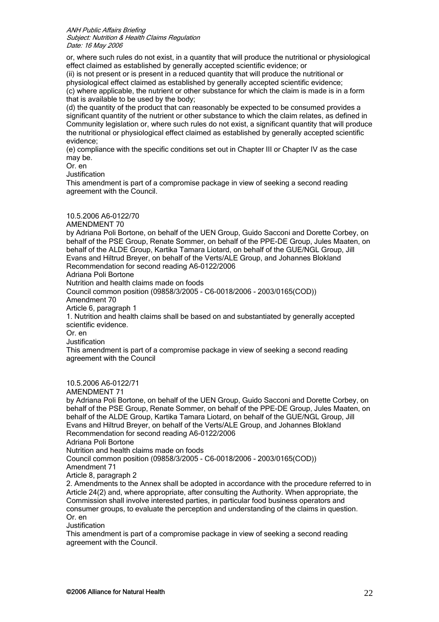or, where such rules do not exist, in a quantity that will produce the nutritional or physiological effect claimed as established by generally accepted scientific evidence; or

(ii) is not present or is present in a reduced quantity that will produce the nutritional or physiological effect claimed as established by generally accepted scientific evidence; (c) where applicable, the nutrient or other substance for which the claim is made is in a form that is available to be used by the body;

(d) the quantity of the product that can reasonably be expected to be consumed provides a significant quantity of the nutrient or other substance to which the claim relates, as defined in Community legislation or, where such rules do not exist, a significant quantity that will produce the nutritional or physiological effect claimed as established by generally accepted scientific evidence;

(e) compliance with the specific conditions set out in Chapter III or Chapter IV as the case may be.

Or. en

**Justification** 

This amendment is part of a compromise package in view of seeking a second reading agreement with the Council.

## 10.5.2006 A6-0122/70

AMENDMENT 70

by Adriana Poli Bortone, on behalf of the UEN Group, Guido Sacconi and Dorette Corbey, on behalf of the PSE Group, Renate Sommer, on behalf of the PPE-DE Group, Jules Maaten, on behalf of the ALDE Group, Kartika Tamara Liotard, on behalf of the GUE/NGL Group, Jill Evans and Hiltrud Breyer, on behalf of the Verts/ALE Group, and Johannes Blokland Recommendation for second reading A6-0122/2006

Adriana Poli Bortone

Nutrition and health claims made on foods

Council common position (09858/3/2005 - C6-0018/2006 - 2003/0165(COD))

Amendment 70

Article 6, paragraph 1

1. Nutrition and health claims shall be based on and substantiated by generally accepted scientific evidence.

Or. en

**Justification** 

This amendment is part of a compromise package in view of seeking a second reading agreement with the Council

# 10.5.2006 A6-0122/71

AMENDMENT 71

by Adriana Poli Bortone, on behalf of the UEN Group, Guido Sacconi and Dorette Corbey, on behalf of the PSE Group, Renate Sommer, on behalf of the PPE-DE Group, Jules Maaten, on behalf of the ALDE Group, Kartika Tamara Liotard, on behalf of the GUE/NGL Group, Jill Evans and Hiltrud Breyer, on behalf of the Verts/ALE Group, and Johannes Blokland Recommendation for second reading A6-0122/2006

Adriana Poli Bortone

Nutrition and health claims made on foods

Council common position (09858/3/2005 - C6-0018/2006 - 2003/0165(COD))

Amendment 71

Article 8, paragraph 2

2. Amendments to the Annex shall be adopted in accordance with the procedure referred to in Article 24(2) and, where appropriate, after consulting the Authority. When appropriate, the Commission shall involve interested parties, in particular food business operators and consumer groups, to evaluate the perception and understanding of the claims in question. Or. en

Justification

This amendment is part of a compromise package in view of seeking a second reading agreement with the Council.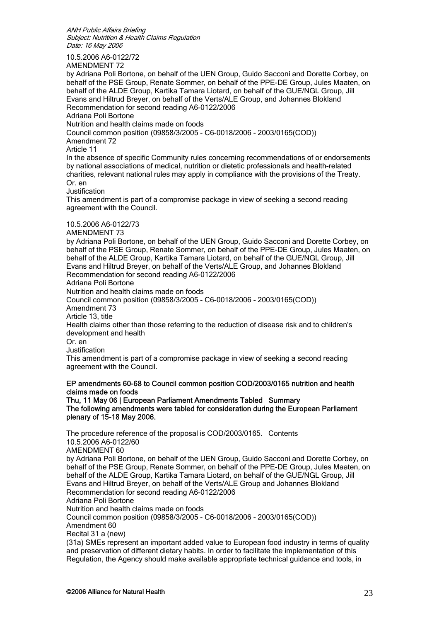10.5.2006 A6-0122/72

AMENDMENT 72

by Adriana Poli Bortone, on behalf of the UEN Group, Guido Sacconi and Dorette Corbey, on behalf of the PSE Group, Renate Sommer, on behalf of the PPE-DE Group, Jules Maaten, on behalf of the ALDE Group, Kartika Tamara Liotard, on behalf of the GUE/NGL Group, Jill Evans and Hiltrud Breyer, on behalf of the Verts/ALE Group, and Johannes Blokland Recommendation for second reading A6-0122/2006

Adriana Poli Bortone

Nutrition and health claims made on foods

Council common position (09858/3/2005 - C6-0018/2006 - 2003/0165(COD))

Amendment 72

Article 11

In the absence of specific Community rules concerning recommendations of or endorsements by national associations of medical, nutrition or dietetic professionals and health-related charities, relevant national rules may apply in compliance with the provisions of the Treaty. Or. en

Justification

This amendment is part of a compromise package in view of seeking a second reading agreement with the Council.

10.5.2006 A6-0122/73

AMENDMENT 73

by Adriana Poli Bortone, on behalf of the UEN Group, Guido Sacconi and Dorette Corbey, on behalf of the PSE Group, Renate Sommer, on behalf of the PPE-DE Group, Jules Maaten, on behalf of the ALDE Group, Kartika Tamara Liotard, on behalf of the GUE/NGL Group, Jill Evans and Hiltrud Breyer, on behalf of the Verts/ALE Group, and Johannes Blokland Recommendation for second reading A6-0122/2006

Adriana Poli Bortone

Nutrition and health claims made on foods

Council common position (09858/3/2005 - C6-0018/2006 - 2003/0165(COD)) Amendment 73

Article 13, title

Health claims other than those referring to the reduction of disease risk and to children's development and health

Or. en

**Justification** 

This amendment is part of a compromise package in view of seeking a second reading agreement with the Council.

## EP amendments 60-68 to Council common position COD/2003/0165 nutrition and health claims made on foods

Thu, 11 May 06 | European Parliament Amendments Tabled Summary The following amendments were tabled for consideration during the European Parliament plenary of 15-18 May 2006.

The procedure reference of the proposal is COD/2003/0165. Contents 10.5.2006 A6-0122/60 AMENDMENT 60 by Adriana Poli Bortone, on behalf of the UEN Group, Guido Sacconi and Dorette Corbey, on behalf of the PSE Group, Renate Sommer, on behalf of the PPE-DE Group, Jules Maaten, on behalf of the ALDE Group, Kartika Tamara Liotard, on behalf of the GUE/NGL Group, Jill Evans and Hiltrud Breyer, on behalf of the Verts/ALE Group and Johannes Blokland Recommendation for second reading A6-0122/2006 Adriana Poli Bortone Nutrition and health claims made on foods Council common position (09858/3/2005 - C6-0018/2006 - 2003/0165(COD)) Amendment 60 Recital 31 a (new) (31a) SMEs represent an important added value to European food industry in terms of quality and preservation of different dietary habits. In order to facilitate the implementation of this Regulation, the Agency should make available appropriate technical guidance and tools, in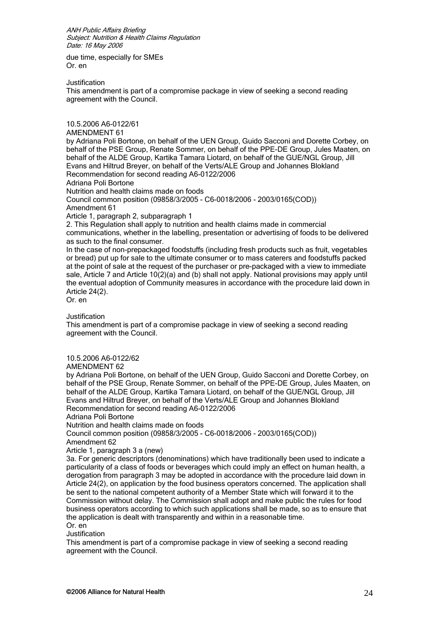due time, especially for SMEs Or. en

**Justification** 

This amendment is part of a compromise package in view of seeking a second reading agreement with the Council.

10.5.2006 A6-0122/61

AMENDMENT 61

by Adriana Poli Bortone, on behalf of the UEN Group, Guido Sacconi and Dorette Corbey, on behalf of the PSE Group, Renate Sommer, on behalf of the PPE-DE Group, Jules Maaten, on behalf of the ALDE Group, Kartika Tamara Liotard, on behalf of the GUE/NGL Group, Jill Evans and Hiltrud Breyer, on behalf of the Verts/ALE Group and Johannes Blokland Recommendation for second reading A6-0122/2006

Adriana Poli Bortone

Nutrition and health claims made on foods

Council common position (09858/3/2005 - C6-0018/2006 - 2003/0165(COD))

Amendment 61

Article 1, paragraph 2, subparagraph 1

2. This Regulation shall apply to nutrition and health claims made in commercial communications, whether in the labelling, presentation or advertising of foods to be delivered as such to the final consumer.

In the case of non-prepackaged foodstuffs (including fresh products such as fruit, vegetables or bread) put up for sale to the ultimate consumer or to mass caterers and foodstuffs packed at the point of sale at the request of the purchaser or pre-packaged with a view to immediate sale, Article 7 and Article 10(2)(a) and (b) shall not apply. National provisions may apply until the eventual adoption of Community measures in accordance with the procedure laid down in Article 24(2).

Or. en

## **Justification**

This amendment is part of a compromise package in view of seeking a second reading agreement with the Council.

10.5.2006 A6-0122/62

AMENDMENT 62

by Adriana Poli Bortone, on behalf of the UEN Group, Guido Sacconi and Dorette Corbey, on behalf of the PSE Group, Renate Sommer, on behalf of the PPE-DE Group, Jules Maaten, on behalf of the ALDE Group, Kartika Tamara Liotard, on behalf of the GUE/NGL Group, Jill Evans and Hiltrud Breyer, on behalf of the Verts/ALE Group and Johannes Blokland Recommendation for second reading A6-0122/2006

Adriana Poli Bortone

Nutrition and health claims made on foods

Council common position (09858/3/2005 - C6-0018/2006 - 2003/0165(COD)) Amendment 62

Article 1, paragraph 3 a (new)

3a. For generic descriptors (denominations) which have traditionally been used to indicate a particularity of a class of foods or beverages which could imply an effect on human health, a derogation from paragraph 3 may be adopted in accordance with the procedure laid down in Article 24(2), on application by the food business operators concerned. The application shall be sent to the national competent authority of a Member State which will forward it to the Commission without delay. The Commission shall adopt and make public the rules for food business operators according to which such applications shall be made, so as to ensure that the application is dealt with transparently and within in a reasonable time.

Or. en

**Justification** 

This amendment is part of a compromise package in view of seeking a second reading agreement with the Council.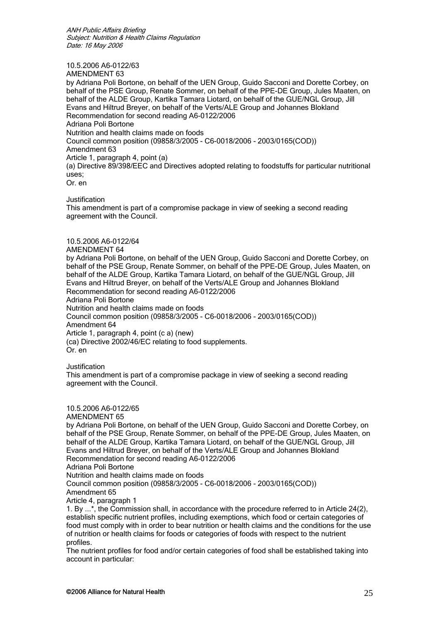#### 10.5.2006 A6-0122/63 AMENDMENT 63

by Adriana Poli Bortone, on behalf of the UEN Group, Guido Sacconi and Dorette Corbey, on behalf of the PSE Group, Renate Sommer, on behalf of the PPE-DE Group, Jules Maaten, on behalf of the ALDE Group, Kartika Tamara Liotard, on behalf of the GUE/NGL Group, Jill Evans and Hiltrud Breyer, on behalf of the Verts/ALE Group and Johannes Blokland Recommendation for second reading A6-0122/2006 Adriana Poli Bortone Nutrition and health claims made on foods Council common position (09858/3/2005 - C6-0018/2006 - 2003/0165(COD)) Amendment 63 Article 1, paragraph 4, point (a) (a) Directive 89/398/EEC and Directives adopted relating to foodstuffs for particular nutritional uses; Or. en

Justification

This amendment is part of a compromise package in view of seeking a second reading agreement with the Council.

# 10.5.2006 A6-0122/64

## AMENDMENT 64

by Adriana Poli Bortone, on behalf of the UEN Group, Guido Sacconi and Dorette Corbey, on behalf of the PSE Group, Renate Sommer, on behalf of the PPE-DE Group, Jules Maaten, on behalf of the ALDE Group, Kartika Tamara Liotard, on behalf of the GUE/NGL Group, Jill Evans and Hiltrud Breyer, on behalf of the Verts/ALE Group and Johannes Blokland Recommendation for second reading A6-0122/2006 Adriana Poli Bortone Nutrition and health claims made on foods Council common position (09858/3/2005 - C6-0018/2006 - 2003/0165(COD)) Amendment 64

Article 1, paragraph 4, point (c a) (new) (ca) Directive 2002/46/EC relating to food supplements. Or. en

Justification

This amendment is part of a compromise package in view of seeking a second reading agreement with the Council.

# 10.5.2006 A6-0122/65

AMENDMENT 65

by Adriana Poli Bortone, on behalf of the UEN Group, Guido Sacconi and Dorette Corbey, on behalf of the PSE Group, Renate Sommer, on behalf of the PPE-DE Group, Jules Maaten, on behalf of the ALDE Group, Kartika Tamara Liotard, on behalf of the GUE/NGL Group, Jill Evans and Hiltrud Breyer, on behalf of the Verts/ALE Group and Johannes Blokland Recommendation for second reading A6-0122/2006 Adriana Poli Bortone

Nutrition and health claims made on foods

Council common position (09858/3/2005 - C6-0018/2006 - 2003/0165(COD)) Amendment 65

Article 4, paragraph 1

1. By ...\*, the Commission shall, in accordance with the procedure referred to in Article 24(2), establish specific nutrient profiles, including exemptions, which food or certain categories of food must comply with in order to bear nutrition or health claims and the conditions for the use of nutrition or health claims for foods or categories of foods with respect to the nutrient profiles.

The nutrient profiles for food and/or certain categories of food shall be established taking into account in particular: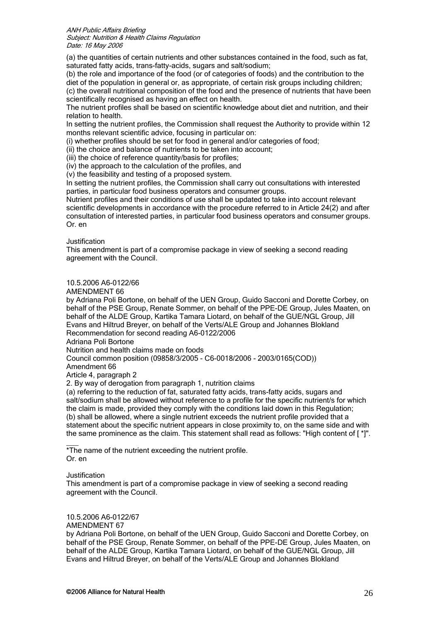(a) the quantities of certain nutrients and other substances contained in the food, such as fat, saturated fatty acids, trans-fatty-acids, sugars and salt/sodium;

(b) the role and importance of the food (or of categories of foods) and the contribution to the diet of the population in general or, as appropriate, of certain risk groups including children;

(c) the overall nutritional composition of the food and the presence of nutrients that have been scientifically recognised as having an effect on health.

The nutrient profiles shall be based on scientific knowledge about diet and nutrition, and their relation to health.

In setting the nutrient profiles, the Commission shall request the Authority to provide within 12 months relevant scientific advice, focusing in particular on:

(i) whether profiles should be set for food in general and/or categories of food;

(ii) the choice and balance of nutrients to be taken into account;

(iii) the choice of reference quantity/basis for profiles;

(iv) the approach to the calculation of the profiles, and

(v) the feasibility and testing of a proposed system.

In setting the nutrient profiles, the Commission shall carry out consultations with interested parties, in particular food business operators and consumer groups.

Nutrient profiles and their conditions of use shall be updated to take into account relevant scientific developments in accordance with the procedure referred to in Article 24(2) and after consultation of interested parties, in particular food business operators and consumer groups. Or. en

Justification

This amendment is part of a compromise package in view of seeking a second reading agreement with the Council.

# 10.5.2006 A6-0122/66

AMENDMENT 66

by Adriana Poli Bortone, on behalf of the UEN Group, Guido Sacconi and Dorette Corbey, on behalf of the PSE Group, Renate Sommer, on behalf of the PPE-DE Group, Jules Maaten, on behalf of the ALDE Group, Kartika Tamara Liotard, on behalf of the GUE/NGL Group, Jill Evans and Hiltrud Breyer, on behalf of the Verts/ALE Group and Johannes Blokland Recommendation for second reading A6-0122/2006

Adriana Poli Bortone

Nutrition and health claims made on foods

Council common position (09858/3/2005 - C6-0018/2006 - 2003/0165(COD))

Amendment 66

Article 4, paragraph 2

2. By way of derogation from paragraph 1, nutrition claims

(a) referring to the reduction of fat, saturated fatty acids, trans-fatty acids, sugars and salt/sodium shall be allowed without reference to a profile for the specific nutrient/s for which the claim is made, provided they comply with the conditions laid down in this Regulation; (b) shall be allowed, where a single nutrient exceeds the nutrient profile provided that a statement about the specific nutrient appears in close proximity to, on the same side and with the same prominence as the claim. This statement shall read as follows: "High content of [ \*]".

 $\overline{\phantom{a}}$ \*The name of the nutrient exceeding the nutrient profile. Or. en

## Justification

This amendment is part of a compromise package in view of seeking a second reading agreement with the Council.

10.5.2006 A6-0122/67

AMENDMENT 67

by Adriana Poli Bortone, on behalf of the UEN Group, Guido Sacconi and Dorette Corbey, on behalf of the PSE Group, Renate Sommer, on behalf of the PPE-DE Group, Jules Maaten, on behalf of the ALDE Group, Kartika Tamara Liotard, on behalf of the GUE/NGL Group, Jill Evans and Hiltrud Breyer, on behalf of the Verts/ALE Group and Johannes Blokland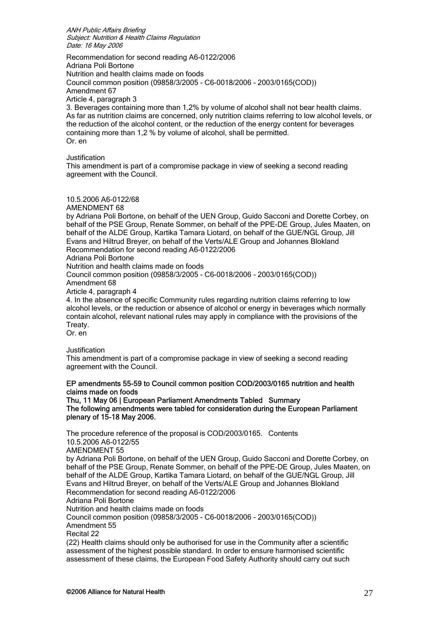Recommendation for second reading A6-0122/2006 Adriana Poli Bortone Nutrition and health claims made on foods Council common position (09858/3/2005 - C6-0018/2006 - 2003/0165(COD)) Amendment 67 Article 4, paragraph 3 3. Beverages containing more than 1,2% by volume of alcohol shall not bear health claims.

As far as nutrition claims are concerned, only nutrition claims referring to low alcohol levels, or the reduction of the alcohol content, or the reduction of the energy content for beverages containing more than 1,2 % by volume of alcohol, shall be permitted. Or. en

#### Justification

This amendment is part of a compromise package in view of seeking a second reading agreement with the Council.

## 10.5.2006 A6-0122/68

AMENDMENT 68

by Adriana Poli Bortone, on behalf of the UEN Group, Guido Sacconi and Dorette Corbey, on behalf of the PSE Group, Renate Sommer, on behalf of the PPE-DE Group, Jules Maaten, on behalf of the ALDE Group, Kartika Tamara Liotard, on behalf of the GUE/NGL Group, Jill Evans and Hiltrud Breyer, on behalf of the Verts/ALE Group and Johannes Blokland Recommendation for second reading A6-0122/2006

Adriana Poli Bortone

Nutrition and health claims made on foods

Council common position (09858/3/2005 - C6-0018/2006 - 2003/0165(COD)) Amendment 68

Article 4, paragraph 4

4. In the absence of specific Community rules regarding nutrition claims referring to low alcohol levels, or the reduction or absence of alcohol or energy in beverages which normally contain alcohol, relevant national rules may apply in compliance with the provisions of the Treaty.

Or. en

**Justification** 

This amendment is part of a compromise package in view of seeking a second reading agreement with the Council.

## EP amendments 55-59 to Council common position COD/2003/0165 nutrition and health claims made on foods

Thu, 11 May 06 | European Parliament Amendments Tabled Summary The following amendments were tabled for consideration during the European Parliament plenary of 15-18 May 2006.

The procedure reference of the proposal is COD/2003/0165. Contents 10.5.2006 A6-0122/55 AMENDMENT 55 by Adriana Poli Bortone, on behalf of the UEN Group, Guido Sacconi and Dorette Corbey, on behalf of the PSE Group, Renate Sommer, on behalf of the PPE-DE Group, Jules Maaten, on behalf of the ALDE Group, Kartika Tamara Liotard, on behalf of the GUE/NGL Group, Jill Evans and Hiltrud Breyer, on behalf of the Verts/ALE Group and Johannes Blokland Recommendation for second reading A6-0122/2006 Adriana Poli Bortone Nutrition and health claims made on foods Council common position (09858/3/2005 - C6-0018/2006 - 2003/0165(COD)) Amendment 55 Recital 22 (22) Health claims should only be authorised for use in the Community after a scientific assessment of the highest possible standard. In order to ensure harmonised scientific

assessment of these claims, the European Food Safety Authority should carry out such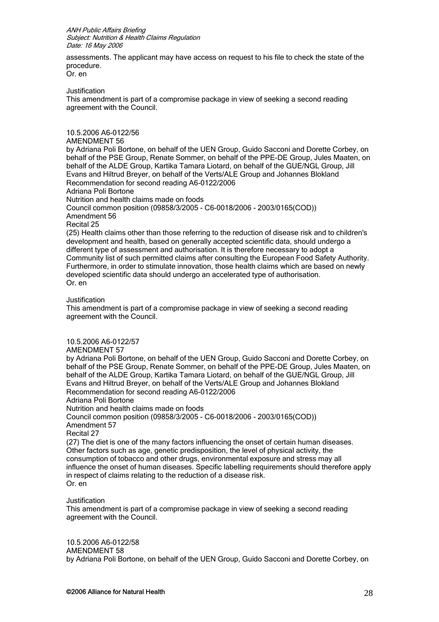assessments. The applicant may have access on request to his file to check the state of the procedure. Or. en

**Justification** 

This amendment is part of a compromise package in view of seeking a second reading agreement with the Council.

10.5.2006 A6-0122/56

AMENDMENT 56

by Adriana Poli Bortone, on behalf of the UEN Group, Guido Sacconi and Dorette Corbey, on behalf of the PSE Group, Renate Sommer, on behalf of the PPE-DE Group, Jules Maaten, on behalf of the ALDE Group, Kartika Tamara Liotard, on behalf of the GUE/NGL Group, Jill Evans and Hiltrud Breyer, on behalf of the Verts/ALE Group and Johannes Blokland Recommendation for second reading A6-0122/2006 Adriana Poli Bortone Nutrition and health claims made on foods

Council common position (09858/3/2005 - C6-0018/2006 - 2003/0165(COD)) Amendment 56

Recital 25

(25) Health claims other than those referring to the reduction of disease risk and to children's development and health, based on generally accepted scientific data, should undergo a different type of assessment and authorisation. It is therefore necessary to adopt a Community list of such permitted claims after consulting the European Food Safety Authority. Furthermore, in order to stimulate innovation, those health claims which are based on newly developed scientific data should undergo an accelerated type of authorisation. Or. en

#### Justification

This amendment is part of a compromise package in view of seeking a second reading agreement with the Council.

10.5.2006 A6-0122/57

AMENDMENT 57

by Adriana Poli Bortone, on behalf of the UEN Group, Guido Sacconi and Dorette Corbey, on behalf of the PSE Group, Renate Sommer, on behalf of the PPE-DE Group, Jules Maaten, on behalf of the ALDE Group, Kartika Tamara Liotard, on behalf of the GUE/NGL Group, Jill Evans and Hiltrud Breyer, on behalf of the Verts/ALE Group and Johannes Blokland Recommendation for second reading A6-0122/2006

Adriana Poli Bortone

Nutrition and health claims made on foods

Council common position (09858/3/2005 - C6-0018/2006 - 2003/0165(COD)) Amendment 57

Recital 27

(27) The diet is one of the many factors influencing the onset of certain human diseases. Other factors such as age, genetic predisposition, the level of physical activity, the consumption of tobacco and other drugs, environmental exposure and stress may all influence the onset of human diseases. Specific labelling requirements should therefore apply in respect of claims relating to the reduction of a disease risk. Or. en

Justification

This amendment is part of a compromise package in view of seeking a second reading agreement with the Council.

10.5.2006 A6-0122/58 AMENDMENT 58 by Adriana Poli Bortone, on behalf of the UEN Group, Guido Sacconi and Dorette Corbey, on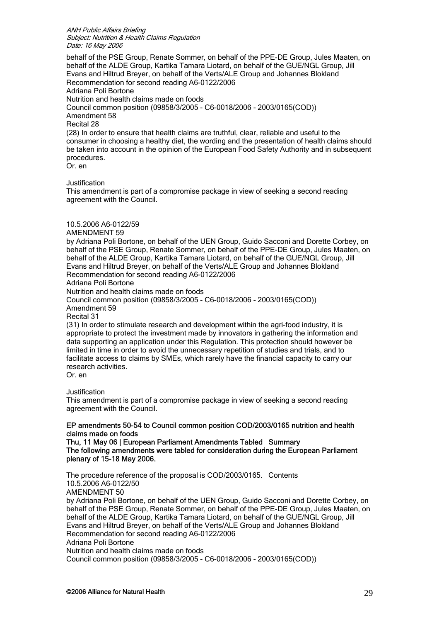behalf of the PSE Group, Renate Sommer, on behalf of the PPE-DE Group, Jules Maaten, on behalf of the ALDE Group, Kartika Tamara Liotard, on behalf of the GUE/NGL Group, Jill Evans and Hiltrud Breyer, on behalf of the Verts/ALE Group and Johannes Blokland Recommendation for second reading A6-0122/2006 Adriana Poli Bortone Nutrition and health claims made on foods Council common position (09858/3/2005 - C6-0018/2006 - 2003/0165(COD)) Amendment 58 Recital 28 (28) In order to ensure that health claims are truthful, clear, reliable and useful to the consumer in choosing a healthy diet, the wording and the presentation of health claims should be taken into account in the opinion of the European Food Safety Authority and in subsequent procedures. Or. en

## **Justification**

This amendment is part of a compromise package in view of seeking a second reading agreement with the Council.

## 10.5.2006 A6-0122/59

AMENDMENT 59

by Adriana Poli Bortone, on behalf of the UEN Group, Guido Sacconi and Dorette Corbey, on behalf of the PSE Group, Renate Sommer, on behalf of the PPE-DE Group, Jules Maaten, on behalf of the ALDE Group, Kartika Tamara Liotard, on behalf of the GUE/NGL Group, Jill Evans and Hiltrud Breyer, on behalf of the Verts/ALE Group and Johannes Blokland Recommendation for second reading A6-0122/2006

Adriana Poli Bortone

Nutrition and health claims made on foods

Council common position (09858/3/2005 - C6-0018/2006 - 2003/0165(COD)) Amendment 59

Recital 31

(31) In order to stimulate research and development within the agri-food industry, it is appropriate to protect the investment made by innovators in gathering the information and data supporting an application under this Regulation. This protection should however be limited in time in order to avoid the unnecessary repetition of studies and trials, and to facilitate access to claims by SMEs, which rarely have the financial capacity to carry our research activities.

Or. en

Justification

This amendment is part of a compromise package in view of seeking a second reading agreement with the Council.

## EP amendments 50-54 to Council common position COD/2003/0165 nutrition and health claims made on foods

Thu, 11 May 06 | European Parliament Amendments Tabled Summary The following amendments were tabled for consideration during the European Parliament plenary of 15-18 May 2006.

The procedure reference of the proposal is COD/2003/0165. Contents 10.5.2006 A6-0122/50 AMENDMENT 50 by Adriana Poli Bortone, on behalf of the UEN Group, Guido Sacconi and Dorette Corbey, on behalf of the PSE Group, Renate Sommer, on behalf of the PPE-DE Group, Jules Maaten, on behalf of the ALDE Group, Kartika Tamara Liotard, on behalf of the GUE/NGL Group, Jill Evans and Hiltrud Breyer, on behalf of the Verts/ALE Group and Johannes Blokland Recommendation for second reading A6-0122/2006 Adriana Poli Bortone Nutrition and health claims made on foods Council common position (09858/3/2005 - C6-0018/2006 - 2003/0165(COD))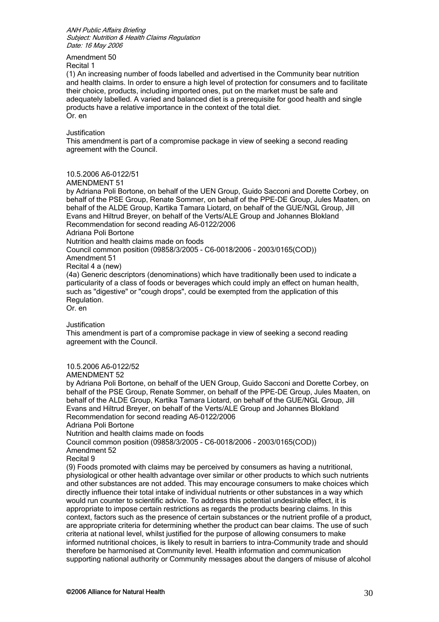Amendment 50

Recital 1

(1) An increasing number of foods labelled and advertised in the Community bear nutrition and health claims. In order to ensure a high level of protection for consumers and to facilitate their choice, products, including imported ones, put on the market must be safe and adequately labelled. A varied and balanced diet is a prerequisite for good health and single products have a relative importance in the context of the total diet. Or. en

Justification

This amendment is part of a compromise package in view of seeking a second reading agreement with the Council.

# 10.5.2006 A6-0122/51

AMENDMENT 51

by Adriana Poli Bortone, on behalf of the UEN Group, Guido Sacconi and Dorette Corbey, on behalf of the PSE Group, Renate Sommer, on behalf of the PPE-DE Group, Jules Maaten, on behalf of the ALDE Group, Kartika Tamara Liotard, on behalf of the GUE/NGL Group, Jill Evans and Hiltrud Breyer, on behalf of the Verts/ALE Group and Johannes Blokland Recommendation for second reading A6-0122/2006 Adriana Poli Bortone Nutrition and health claims made on foods Council common position (09858/3/2005 - C6-0018/2006 - 2003/0165(COD)) Amendment 51 Recital 4 a (new) (4a) Generic descriptors (denominations) which have traditionally been used to indicate a particularity of a class of foods or beverages which could imply an effect on human health, such as "digestive" or "cough drops", could be exempted from the application of this Regulation. Or. en

Justification

This amendment is part of a compromise package in view of seeking a second reading agreement with the Council.

10.5.2006 A6-0122/52

AMENDMENT 52

by Adriana Poli Bortone, on behalf of the UEN Group, Guido Sacconi and Dorette Corbey, on behalf of the PSE Group, Renate Sommer, on behalf of the PPE-DE Group, Jules Maaten, on behalf of the ALDE Group, Kartika Tamara Liotard, on behalf of the GUE/NGL Group, Jill Evans and Hiltrud Breyer, on behalf of the Verts/ALE Group and Johannes Blokland Recommendation for second reading A6-0122/2006 Adriana Poli Bortone

Nutrition and health claims made on foods

Council common position (09858/3/2005 - C6-0018/2006 - 2003/0165(COD)) Amendment 52

Recital 9

(9) Foods promoted with claims may be perceived by consumers as having a nutritional, physiological or other health advantage over similar or other products to which such nutrients and other substances are not added. This may encourage consumers to make choices which directly influence their total intake of individual nutrients or other substances in a way which would run counter to scientific advice. To address this potential undesirable effect, it is appropriate to impose certain restrictions as regards the products bearing claims. In this context, factors such as the presence of certain substances or the nutrient profile of a product, are appropriate criteria for determining whether the product can bear claims. The use of such criteria at national level, whilst justified for the purpose of allowing consumers to make informed nutritional choices, is likely to result in barriers to intra-Community trade and should therefore be harmonised at Community level. Health information and communication supporting national authority or Community messages about the dangers of misuse of alcohol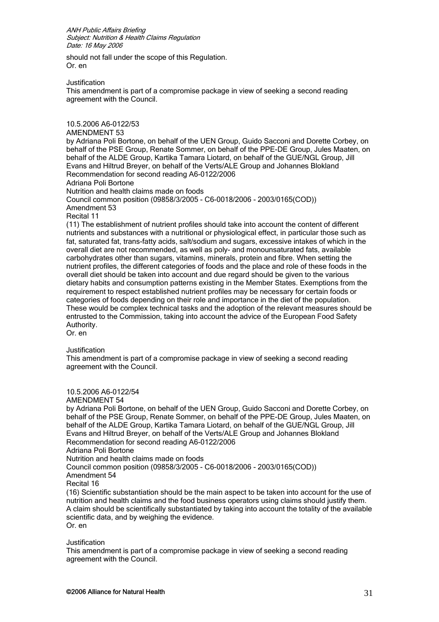should not fall under the scope of this Regulation. Or. en

**Justification** 

This amendment is part of a compromise package in view of seeking a second reading agreement with the Council.

10.5.2006 A6-0122/53

AMENDMENT 53

by Adriana Poli Bortone, on behalf of the UEN Group, Guido Sacconi and Dorette Corbey, on behalf of the PSE Group, Renate Sommer, on behalf of the PPE-DE Group, Jules Maaten, on behalf of the ALDE Group, Kartika Tamara Liotard, on behalf of the GUE/NGL Group, Jill Evans and Hiltrud Breyer, on behalf of the Verts/ALE Group and Johannes Blokland Recommendation for second reading A6-0122/2006

Adriana Poli Bortone

Nutrition and health claims made on foods

Council common position (09858/3/2005 - C6-0018/2006 - 2003/0165(COD))

Amendment 53

Recital 11

(11) The establishment of nutrient profiles should take into account the content of different nutrients and substances with a nutritional or physiological effect, in particular those such as fat, saturated fat, trans-fatty acids, salt/sodium and sugars, excessive intakes of which in the overall diet are not recommended, as well as poly- and monounsaturated fats, available carbohydrates other than sugars, vitamins, minerals, protein and fibre. When setting the nutrient profiles, the different categories of foods and the place and role of these foods in the overall diet should be taken into account and due regard should be given to the various dietary habits and consumption patterns existing in the Member States. Exemptions from the requirement to respect established nutrient profiles may be necessary for certain foods or categories of foods depending on their role and importance in the diet of the population. These would be complex technical tasks and the adoption of the relevant measures should be entrusted to the Commission, taking into account the advice of the European Food Safety Authority.

Or. en

**Justification** 

This amendment is part of a compromise package in view of seeking a second reading agreement with the Council.

10.5.2006 A6-0122/54

AMENDMENT 54

by Adriana Poli Bortone, on behalf of the UEN Group, Guido Sacconi and Dorette Corbey, on behalf of the PSE Group, Renate Sommer, on behalf of the PPE-DE Group, Jules Maaten, on behalf of the ALDE Group, Kartika Tamara Liotard, on behalf of the GUE/NGL Group, Jill Evans and Hiltrud Breyer, on behalf of the Verts/ALE Group and Johannes Blokland Recommendation for second reading A6-0122/2006 Adriana Poli Bortone Nutrition and health claims made on foods Council common position (09858/3/2005 - C6-0018/2006 - 2003/0165(COD)) Amendment 54 Recital 16 (16) Scientific substantiation should be the main aspect to be taken into account for the use of nutrition and health claims and the food business operators using claims should justify them. A claim should be scientifically substantiated by taking into account the totality of the available scientific data, and by weighing the evidence.

Or. en

Justification

This amendment is part of a compromise package in view of seeking a second reading agreement with the Council.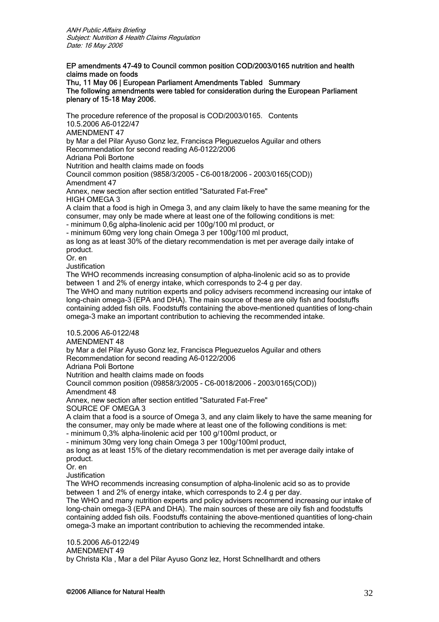# EP amendments 47-49 to Council common position COD/2003/0165 nutrition and health claims made on foods

Thu, 11 May 06 | European Parliament Amendments Tabled Summary The following amendments were tabled for consideration during the European Parliament plenary of 15-18 May 2006.

The procedure reference of the proposal is COD/2003/0165. Contents 10.5.2006 A6-0122/47 AMENDMENT 47 by Mar a del Pilar Ayuso Gonz lez, Francisca Pleguezuelos Aguilar and others Recommendation for second reading A6-0122/2006 Adriana Poli Bortone Nutrition and health claims made on foods Council common position (9858/3/2005 - C6-0018/2006 - 2003/0165(COD)) Amendment 47 Annex, new section after section entitled "Saturated Fat-Free" HIGH OMEGA 3 A claim that a food is high in Omega 3, and any claim likely to have the same meaning for the consumer, may only be made where at least one of the following conditions is met: - minimum 0,6g alpha-linolenic acid per 100g/100 ml product, or - minimum 60mg very long chain Omega 3 per 100g/100 ml product, as long as at least 30% of the dietary recommendation is met per average daily intake of product. Or. en **Justification** The WHO recommends increasing consumption of alpha-linolenic acid so as to provide between 1 and 2% of energy intake, which corresponds to 2-4 g per day. The WHO and many nutrition experts and policy advisers recommend increasing our intake of long-chain omega-3 (EPA and DHA). The main source of these are oily fish and foodstuffs containing added fish oils. Foodstuffs containing the above-mentioned quantities of long-chain omega-3 make an important contribution to achieving the recommended intake. 10.5.2006 A6-0122/48 AMENDMENT 48 by Mar a del Pilar Ayuso Gonz lez, Francisca Pleguezuelos Aguilar and others Recommendation for second reading A6-0122/2006 Adriana Poli Bortone Nutrition and health claims made on foods Council common position (09858/3/2005 - C6-0018/2006 - 2003/0165(COD)) Amendment 48 Annex, new section after section entitled "Saturated Fat-Free" SOURCE OF OMEGA 3 A claim that a food is a source of Omega 3, and any claim likely to have the same meaning for the consumer, may only be made where at least one of the following conditions is met: - minimum 0,3% alpha-linolenic acid per 100 g/100ml product, or - minimum 30mg very long chain Omega 3 per 100g/100ml product, as long as at least 15% of the dietary recommendation is met per average daily intake of product. Or. en Justification The WHO recommends increasing consumption of alpha-linolenic acid so as to provide between 1 and 2% of energy intake, which corresponds to 2.4 g per day. The WHO and many nutrition experts and policy advisers recommend increasing our intake of long-chain omega-3 (EPA and DHA). The main sources of these are oily fish and foodstuffs containing added fish oils. Foodstuffs containing the above-mentioned quantities of long-chain omega-3 make an important contribution to achieving the recommended intake. 10.5.2006 A6-0122/49

AMENDMENT 49

by Christa Kla , Mar a del Pilar Ayuso Gonz lez, Horst Schnellhardt and others